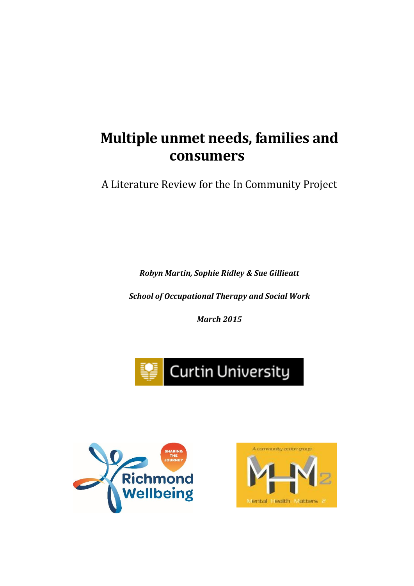# **Multiple unmet needs, families and consumers**

A Literature Review for the In Community Project

*Robyn Martin, Sophie Ridley & Sue Gillieatt*

*School of Occupational Therapy and Social Work*

*March 2015*





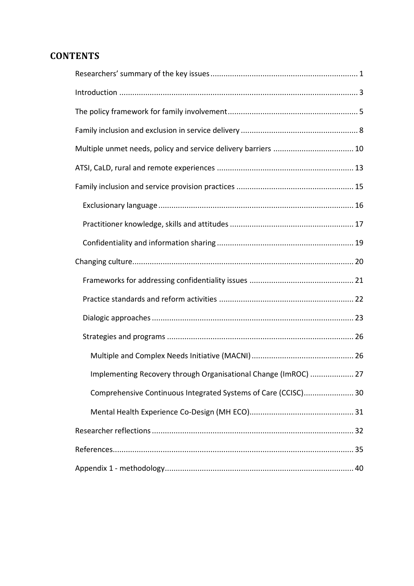## **CONTENTS**

| Implementing Recovery through Organisational Change (ImROC)  27 |
|-----------------------------------------------------------------|
| Comprehensive Continuous Integrated Systems of Care (CCISC) 30  |
|                                                                 |
|                                                                 |
|                                                                 |
|                                                                 |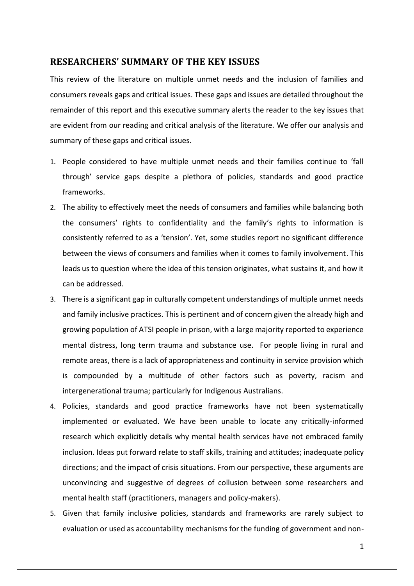## <span id="page-2-0"></span>**RESEARCHERS' SUMMARY OF THE KEY ISSUES**

This review of the literature on multiple unmet needs and the inclusion of families and consumers reveals gaps and critical issues. These gaps and issues are detailed throughout the remainder of this report and this executive summary alerts the reader to the key issues that are evident from our reading and critical analysis of the literature. We offer our analysis and summary of these gaps and critical issues.

- 1. People considered to have multiple unmet needs and their families continue to 'fall through' service gaps despite a plethora of policies, standards and good practice frameworks.
- 2. The ability to effectively meet the needs of consumers and families while balancing both the consumers' rights to confidentiality and the family's rights to information is consistently referred to as a 'tension'. Yet, some studies report no significant difference between the views of consumers and families when it comes to family involvement. This leads us to question where the idea of this tension originates, what sustains it, and how it can be addressed.
- 3. There is a significant gap in culturally competent understandings of multiple unmet needs and family inclusive practices. This is pertinent and of concern given the already high and growing population of ATSI people in prison, with a large majority reported to experience mental distress, long term trauma and substance use. For people living in rural and remote areas, there is a lack of appropriateness and continuity in service provision which is compounded by a multitude of other factors such as poverty, racism and intergenerational trauma; particularly for Indigenous Australians.
- 4. Policies, standards and good practice frameworks have not been systematically implemented or evaluated. We have been unable to locate any critically-informed research which explicitly details why mental health services have not embraced family inclusion. Ideas put forward relate to staff skills, training and attitudes; inadequate policy directions; and the impact of crisis situations. From our perspective, these arguments are unconvincing and suggestive of degrees of collusion between some researchers and mental health staff (practitioners, managers and policy-makers).
- 5. Given that family inclusive policies, standards and frameworks are rarely subject to evaluation or used as accountability mechanisms for the funding of government and non-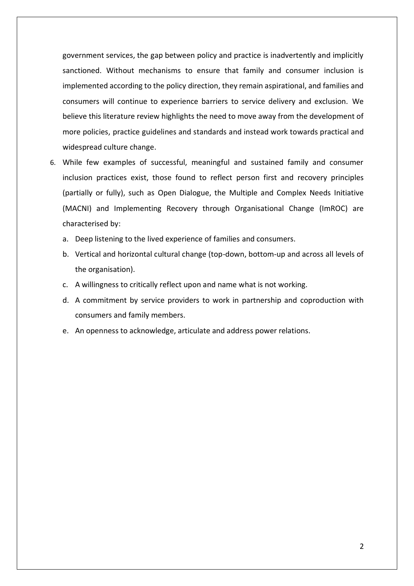government services, the gap between policy and practice is inadvertently and implicitly sanctioned. Without mechanisms to ensure that family and consumer inclusion is implemented according to the policy direction, they remain aspirational, and families and consumers will continue to experience barriers to service delivery and exclusion. We believe this literature review highlights the need to move away from the development of more policies, practice guidelines and standards and instead work towards practical and widespread culture change.

- 6. While few examples of successful, meaningful and sustained family and consumer inclusion practices exist, those found to reflect person first and recovery principles (partially or fully), such as Open Dialogue, the Multiple and Complex Needs Initiative (MACNI) and Implementing Recovery through Organisational Change (ImROC) are characterised by:
	- a. Deep listening to the lived experience of families and consumers.
	- b. Vertical and horizontal cultural change (top-down, bottom-up and across all levels of the organisation).
	- c. A willingness to critically reflect upon and name what is not working.
	- d. A commitment by service providers to work in partnership and coproduction with consumers and family members.
	- e. An openness to acknowledge, articulate and address power relations.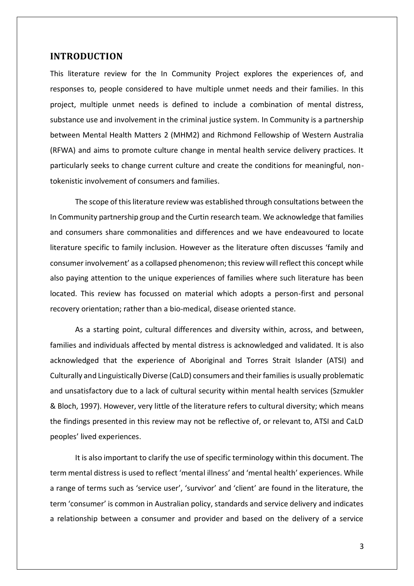#### <span id="page-4-0"></span>**INTRODUCTION**

This literature review for the In Community Project explores the experiences of, and responses to, people considered to have multiple unmet needs and their families. In this project, multiple unmet needs is defined to include a combination of mental distress, substance use and involvement in the criminal justice system. In Community is a partnership between Mental Health Matters 2 (MHM2) and Richmond Fellowship of Western Australia (RFWA) and aims to promote culture change in mental health service delivery practices. It particularly seeks to change current culture and create the conditions for meaningful, nontokenistic involvement of consumers and families.

The scope of this literature review was established through consultations between the In Community partnership group and the Curtin research team. We acknowledge that families and consumers share commonalities and differences and we have endeavoured to locate literature specific to family inclusion. However as the literature often discusses 'family and consumer involvement' as a collapsed phenomenon; this review will reflect this concept while also paying attention to the unique experiences of families where such literature has been located. This review has focussed on material which adopts a person-first and personal recovery orientation; rather than a bio-medical, disease oriented stance.

As a starting point, cultural differences and diversity within, across, and between, families and individuals affected by mental distress is acknowledged and validated. It is also acknowledged that the experience of Aboriginal and Torres Strait Islander (ATSI) and Culturally and Linguistically Diverse (CaLD) consumers and their families is usually problematic and unsatisfactory due to a lack of cultural security within mental health services (Szmukler & Bloch, 1997). However, very little of the literature refers to cultural diversity; which means the findings presented in this review may not be reflective of, or relevant to, ATSI and CaLD peoples' lived experiences.

It is also important to clarify the use of specific terminology within this document. The term mental distress is used to reflect 'mental illness' and 'mental health' experiences. While a range of terms such as 'service user', 'survivor' and 'client' are found in the literature, the term 'consumer' is common in Australian policy, standards and service delivery and indicates a relationship between a consumer and provider and based on the delivery of a service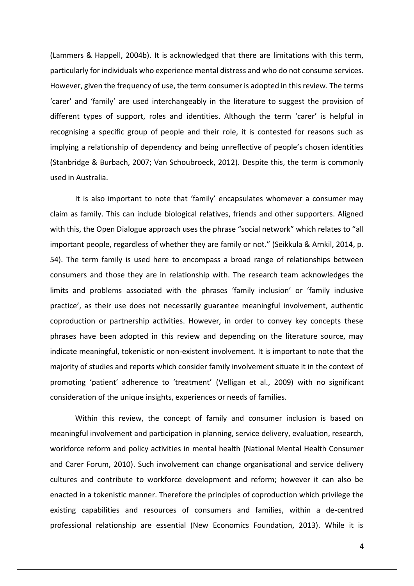(Lammers & Happell, 2004b). It is acknowledged that there are limitations with this term, particularly for individuals who experience mental distress and who do not consume services. However, given the frequency of use, the term consumer is adopted in this review. The terms 'carer' and 'family' are used interchangeably in the literature to suggest the provision of different types of support, roles and identities. Although the term 'carer' is helpful in recognising a specific group of people and their role, it is contested for reasons such as implying a relationship of dependency and being unreflective of people's chosen identities (Stanbridge & Burbach, 2007; Van Schoubroeck, 2012). Despite this, the term is commonly used in Australia.

It is also important to note that 'family' encapsulates whomever a consumer may claim as family. This can include biological relatives, friends and other supporters. Aligned with this, the Open Dialogue approach uses the phrase "social network" which relates to "all important people, regardless of whether they are family or not." (Seikkula & Arnkil, 2014, p. 54). The term family is used here to encompass a broad range of relationships between consumers and those they are in relationship with. The research team acknowledges the limits and problems associated with the phrases 'family inclusion' or 'family inclusive practice', as their use does not necessarily guarantee meaningful involvement, authentic coproduction or partnership activities. However, in order to convey key concepts these phrases have been adopted in this review and depending on the literature source, may indicate meaningful, tokenistic or non-existent involvement. It is important to note that the majority of studies and reports which consider family involvement situate it in the context of promoting 'patient' adherence to 'treatment' (Velligan et al., 2009) with no significant consideration of the unique insights, experiences or needs of families.

Within this review, the concept of family and consumer inclusion is based on meaningful involvement and participation in planning, service delivery, evaluation, research, workforce reform and policy activities in mental health (National Mental Health Consumer and Carer Forum, 2010). Such involvement can change organisational and service delivery cultures and contribute to workforce development and reform; however it can also be enacted in a tokenistic manner. Therefore the principles of coproduction which privilege the existing capabilities and resources of consumers and families, within a de-centred professional relationship are essential (New Economics Foundation, 2013). While it is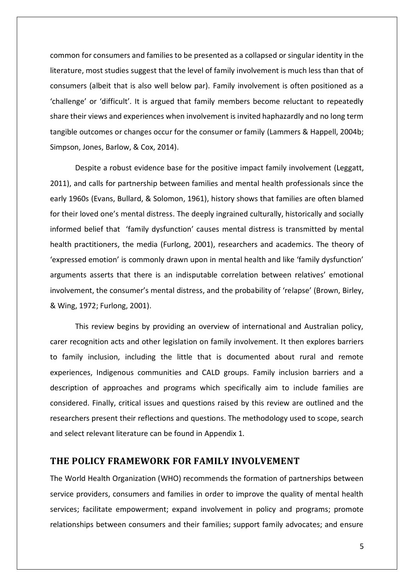common for consumers and families to be presented as a collapsed or singular identity in the literature, most studies suggest that the level of family involvement is much less than that of consumers (albeit that is also well below par). Family involvement is often positioned as a 'challenge' or 'difficult'. It is argued that family members become reluctant to repeatedly share their views and experiences when involvement is invited haphazardly and no long term tangible outcomes or changes occur for the consumer or family (Lammers & Happell, 2004b; Simpson, Jones, Barlow, & Cox, 2014).

Despite a robust evidence base for the positive impact family involvement (Leggatt, 2011), and calls for partnership between families and mental health professionals since the early 1960s (Evans, Bullard, & Solomon, 1961), history shows that families are often blamed for their loved one's mental distress. The deeply ingrained culturally, historically and socially informed belief that 'family dysfunction' causes mental distress is transmitted by mental health practitioners, the media (Furlong, 2001), researchers and academics. The theory of 'expressed emotion' is commonly drawn upon in mental health and like 'family dysfunction' arguments asserts that there is an indisputable correlation between relatives' emotional involvement, the consumer's mental distress, and the probability of 'relapse' (Brown, Birley, & Wing, 1972; Furlong, 2001).

This review begins by providing an overview of international and Australian policy, carer recognition acts and other legislation on family involvement. It then explores barriers to family inclusion, including the little that is documented about rural and remote experiences, Indigenous communities and CALD groups. Family inclusion barriers and a description of approaches and programs which specifically aim to include families are considered. Finally, critical issues and questions raised by this review are outlined and the researchers present their reflections and questions. The methodology used to scope, search and select relevant literature can be found in Appendix 1.

## <span id="page-6-0"></span>**THE POLICY FRAMEWORK FOR FAMILY INVOLVEMENT**

The World Health Organization (WHO) recommends the formation of partnerships between service providers, consumers and families in order to improve the quality of mental health services; facilitate empowerment; expand involvement in policy and programs; promote relationships between consumers and their families; support family advocates; and ensure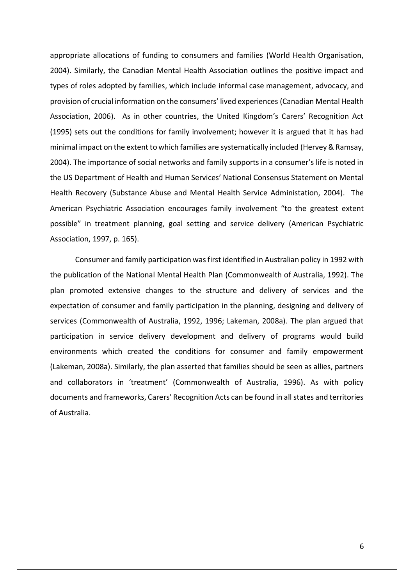appropriate allocations of funding to consumers and families (World Health Organisation, 2004). Similarly, the Canadian Mental Health Association outlines the positive impact and types of roles adopted by families, which include informal case management, advocacy, and provision of crucial information on the consumers' lived experiences (Canadian Mental Health Association, 2006). As in other countries, the United Kingdom's Carers' Recognition Act (1995) sets out the conditions for family involvement; however it is argued that it has had minimal impact on the extent to which families are systematically included (Hervey & Ramsay, 2004). The importance of social networks and family supports in a consumer's life is noted in the US Department of Health and Human Services' National Consensus Statement on Mental Health Recovery (Substance Abuse and Mental Health Service Administation, 2004). The American Psychiatric Association encourages family involvement "to the greatest extent possible" in treatment planning, goal setting and service delivery (American Psychiatric Association, 1997, p. 165).

Consumer and family participation was first identified in Australian policy in 1992 with the publication of the National Mental Health Plan (Commonwealth of Australia, 1992). The plan promoted extensive changes to the structure and delivery of services and the expectation of consumer and family participation in the planning, designing and delivery of services (Commonwealth of Australia, 1992, 1996; Lakeman, 2008a). The plan argued that participation in service delivery development and delivery of programs would build environments which created the conditions for consumer and family empowerment (Lakeman, 2008a). Similarly, the plan asserted that families should be seen as allies, partners and collaborators in 'treatment' (Commonwealth of Australia, 1996). As with policy documents and frameworks, Carers' Recognition Acts can be found in all states and territories of Australia.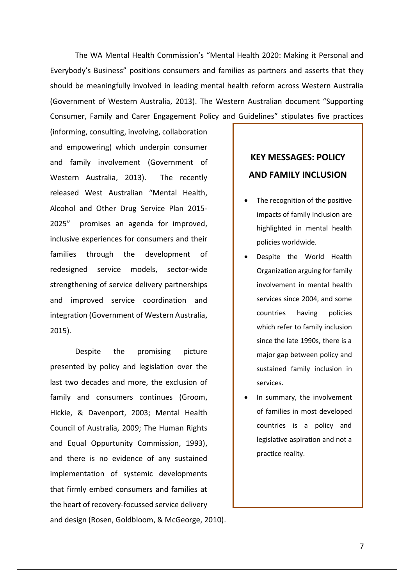The WA Mental Health Commission's "Mental Health 2020: Making it Personal and Everybody's Business" positions consumers and families as partners and asserts that they should be meaningfully involved in leading mental health reform across Western Australia (Government of Western Australia, 2013). The Western Australian document "Supporting Consumer, Family and Carer Engagement Policy and Guidelines" stipulates five practices

(informing, consulting, involving, collaboration and empowering) which underpin consumer and family involvement (Government of Western Australia, 2013). The recently released West Australian "Mental Health, Alcohol and Other Drug Service Plan 2015- 2025" promises an agenda for improved, inclusive experiences for consumers and their families through the development of redesigned service models, sector-wide strengthening of service delivery partnerships and improved service coordination and integration (Government of Western Australia, 2015).

Despite the promising picture presented by policy and legislation over the last two decades and more, the exclusion of family and consumers continues (Groom, Hickie, & Davenport, 2003; Mental Health Council of Australia, 2009; The Human Rights and Equal Oppurtunity Commission, 1993), and there is no evidence of any sustained implementation of systemic developments that firmly embed consumers and families at the heart of recovery-focussed service delivery and design (Rosen, Goldbloom, & McGeorge, 2010).

# **KEY MESSAGES: POLICY AND FAMILY INCLUSION**

- The recognition of the positive impacts of family inclusion are highlighted in mental health policies worldwide.
- Despite the World Health Organization arguing for family involvement in mental health services since 2004, and some countries having policies which refer to family inclusion since the late 1990s, there is a major gap between policy and sustained family inclusion in services.
- In summary, the involvement of families in most developed countries is a policy and legislative aspiration and not a practice reality.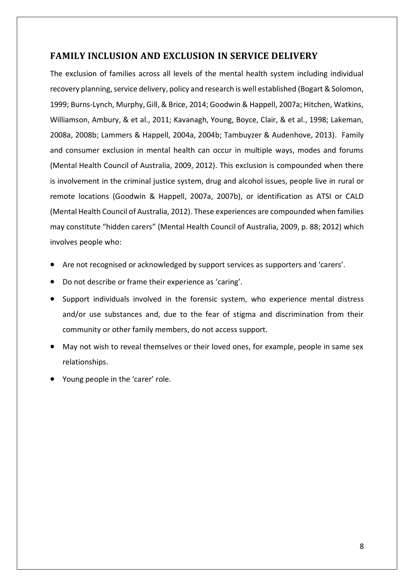## <span id="page-9-0"></span>**FAMILY INCLUSION AND EXCLUSION IN SERVICE DELIVERY**

The exclusion of families across all levels of the mental health system including individual recovery planning, service delivery, policy and research is well established (Bogart & Solomon, 1999; Burns-Lynch, Murphy, Gill, & Brice, 2014; Goodwin & Happell, 2007a; Hitchen, Watkins, Williamson, Ambury, & et al., 2011; Kavanagh, Young, Boyce, Clair, & et al., 1998; Lakeman, 2008a, 2008b; Lammers & Happell, 2004a, 2004b; Tambuyzer & Audenhove, 2013). Family and consumer exclusion in mental health can occur in multiple ways, modes and forums (Mental Health Council of Australia, 2009, 2012). This exclusion is compounded when there is involvement in the criminal justice system, drug and alcohol issues, people live in rural or remote locations (Goodwin & Happell, 2007a, 2007b), or identification as ATSI or CALD (Mental Health Council of Australia, 2012). These experiences are compounded when families may constitute "hidden carers" (Mental Health Council of Australia, 2009, p. 88; 2012) which involves people who:

- Are not recognised or acknowledged by support services as supporters and 'carers'.
- Do not describe or frame their experience as 'caring'.
- Support individuals involved in the forensic system, who experience mental distress and/or use substances and, due to the fear of stigma and discrimination from their community or other family members, do not access support.
- May not wish to reveal themselves or their loved ones, for example, people in same sex relationships.
- Young people in the 'carer' role.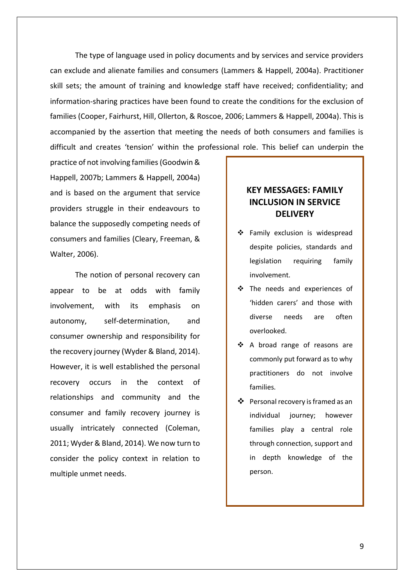The type of language used in policy documents and by services and service providers can exclude and alienate families and consumers (Lammers & Happell, 2004a). Practitioner skill sets; the amount of training and knowledge staff have received; confidentiality; and information-sharing practices have been found to create the conditions for the exclusion of families (Cooper, Fairhurst, Hill, Ollerton, & Roscoe, 2006; Lammers & Happell, 2004a). This is accompanied by the assertion that meeting the needs of both consumers and families is difficult and creates 'tension' within the professional role. This belief can underpin the

practice of not involving families (Goodwin & Happell, 2007b; Lammers & Happell, 2004a) and is based on the argument that service providers struggle in their endeavours to balance the supposedly competing needs of consumers and families (Cleary, Freeman, & Walter, 2006).

The notion of personal recovery can appear to be at odds with family involvement, with its emphasis on autonomy, self-determination, and consumer ownership and responsibility for the recovery journey (Wyder & Bland, 2014). However, it is well established the personal recovery occurs in the context of relationships and community and the consumer and family recovery journey is usually intricately connected (Coleman, 2011; Wyder & Bland, 2014). We now turn to consider the policy context in relation to multiple unmet needs.

## **KEY MESSAGES: FAMILY INCLUSION IN SERVICE DELIVERY**

- Family exclusion is widespread despite policies, standards and legislation requiring family involvement.
- The needs and experiences of 'hidden carers' and those with diverse needs are often overlooked.
- ❖ A broad range of reasons are commonly put forward as to why practitioners do not involve families.
- Personal recovery is framed as an individual journey; however families play a central role through connection, support and in depth knowledge of the person.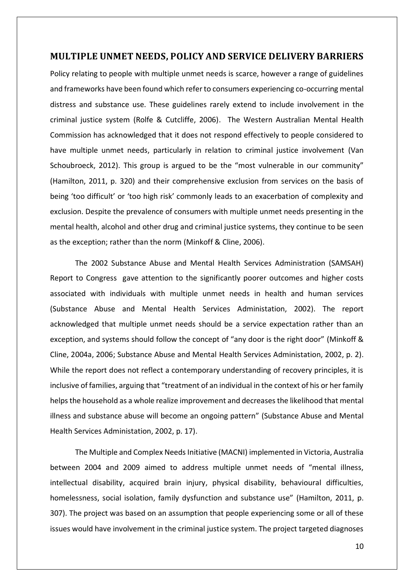#### <span id="page-11-0"></span>**MULTIPLE UNMET NEEDS, POLICY AND SERVICE DELIVERY BARRIERS**

Policy relating to people with multiple unmet needs is scarce, however a range of guidelines and frameworks have been found which refer to consumers experiencing co-occurring mental distress and substance use. These guidelines rarely extend to include involvement in the criminal justice system (Rolfe & Cutcliffe, 2006). The Western Australian Mental Health Commission has acknowledged that it does not respond effectively to people considered to have multiple unmet needs, particularly in relation to criminal justice involvement (Van Schoubroeck, 2012). This group is argued to be the "most vulnerable in our community" (Hamilton, 2011, p. 320) and their comprehensive exclusion from services on the basis of being 'too difficult' or 'too high risk' commonly leads to an exacerbation of complexity and exclusion. Despite the prevalence of consumers with multiple unmet needs presenting in the mental health, alcohol and other drug and criminal justice systems, they continue to be seen as the exception; rather than the norm (Minkoff & Cline, 2006).

The 2002 Substance Abuse and Mental Health Services Administration (SAMSAH) Report to Congress gave attention to the significantly poorer outcomes and higher costs associated with individuals with multiple unmet needs in health and human services (Substance Abuse and Mental Health Services Administation, 2002). The report acknowledged that multiple unmet needs should be a service expectation rather than an exception, and systems should follow the concept of "any door is the right door" (Minkoff & Cline, 2004a, 2006; Substance Abuse and Mental Health Services Administation, 2002, p. 2). While the report does not reflect a contemporary understanding of recovery principles, it is inclusive of families, arguing that "treatment of an individual in the context of his or her family helps the household as a whole realize improvement and decreases the likelihood that mental illness and substance abuse will become an ongoing pattern" (Substance Abuse and Mental Health Services Administation, 2002, p. 17).

The Multiple and Complex Needs Initiative (MACNI) implemented in Victoria, Australia between 2004 and 2009 aimed to address multiple unmet needs of "mental illness, intellectual disability, acquired brain injury, physical disability, behavioural difficulties, homelessness, social isolation, family dysfunction and substance use" (Hamilton, 2011, p. 307). The project was based on an assumption that people experiencing some or all of these issues would have involvement in the criminal justice system. The project targeted diagnoses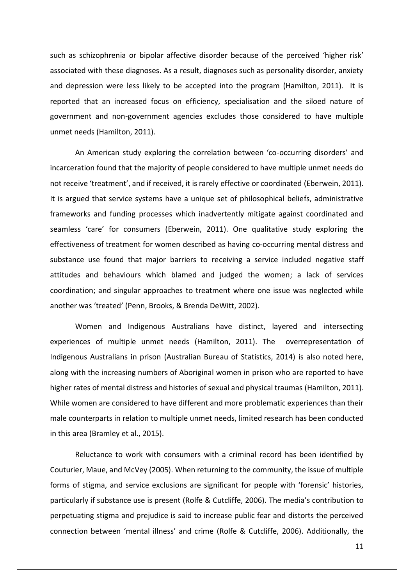such as schizophrenia or bipolar affective disorder because of the perceived 'higher risk' associated with these diagnoses. As a result, diagnoses such as personality disorder, anxiety and depression were less likely to be accepted into the program (Hamilton, 2011). It is reported that an increased focus on efficiency, specialisation and the siloed nature of government and non-government agencies excludes those considered to have multiple unmet needs (Hamilton, 2011).

An American study exploring the correlation between 'co-occurring disorders' and incarceration found that the majority of people considered to have multiple unmet needs do not receive 'treatment', and if received, it is rarely effective or coordinated (Eberwein, 2011). It is argued that service systems have a unique set of philosophical beliefs, administrative frameworks and funding processes which inadvertently mitigate against coordinated and seamless 'care' for consumers (Eberwein, 2011). One qualitative study exploring the effectiveness of treatment for women described as having co-occurring mental distress and substance use found that major barriers to receiving a service included negative staff attitudes and behaviours which blamed and judged the women; a lack of services coordination; and singular approaches to treatment where one issue was neglected while another was 'treated' (Penn, Brooks, & Brenda DeWitt, 2002).

Women and Indigenous Australians have distinct, layered and intersecting experiences of multiple unmet needs (Hamilton, 2011). The overrepresentation of Indigenous Australians in prison (Australian Bureau of Statistics, 2014) is also noted here, along with the increasing numbers of Aboriginal women in prison who are reported to have higher rates of mental distress and histories of sexual and physical traumas (Hamilton, 2011). While women are considered to have different and more problematic experiences than their male counterparts in relation to multiple unmet needs, limited research has been conducted in this area (Bramley et al., 2015).

Reluctance to work with consumers with a criminal record has been identified by Couturier, Maue, and McVey (2005). When returning to the community, the issue of multiple forms of stigma, and service exclusions are significant for people with 'forensic' histories, particularly if substance use is present (Rolfe & Cutcliffe, 2006). The media's contribution to perpetuating stigma and prejudice is said to increase public fear and distorts the perceived connection between 'mental illness' and crime (Rolfe & Cutcliffe, 2006). Additionally, the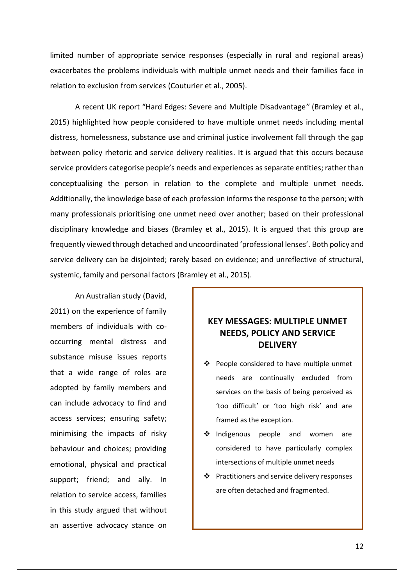limited number of appropriate service responses (especially in rural and regional areas) exacerbates the problems individuals with multiple unmet needs and their families face in relation to exclusion from services (Couturier et al., 2005).

A recent UK report "Hard Edges: Severe and Multiple Disadvantage*"* (Bramley et al., 2015) highlighted how people considered to have multiple unmet needs including mental distress, homelessness, substance use and criminal justice involvement fall through the gap between policy rhetoric and service delivery realities. It is argued that this occurs because service providers categorise people's needs and experiences as separate entities; rather than conceptualising the person in relation to the complete and multiple unmet needs. Additionally, the knowledge base of each profession informs the response to the person; with many professionals prioritising one unmet need over another; based on their professional disciplinary knowledge and biases (Bramley et al., 2015). It is argued that this group are frequently viewed through detached and uncoordinated 'professional lenses'. Both policy and service delivery can be disjointed; rarely based on evidence; and unreflective of structural, systemic, family and personal factors (Bramley et al., 2015).

An Australian study (David, 2011) on the experience of family members of individuals with cooccurring mental distress and substance misuse issues reports that a wide range of roles are adopted by family members and can include advocacy to find and access services; ensuring safety; minimising the impacts of risky behaviour and choices; providing emotional, physical and practical support; friend; and ally. In relation to service access, families in this study argued that without an assertive advocacy stance on

## **KEY MESSAGES: MULTIPLE UNMET NEEDS, POLICY AND SERVICE DELIVERY**

- ❖ People considered to have multiple unmet needs are continually excluded from services on the basis of being perceived as 'too difficult' or 'too high risk' and are framed as the exception.
- ❖ Indigenous people and women are considered to have particularly complex intersections of multiple unmet needs
- ❖ Practitioners and service delivery responses are often detached and fragmented.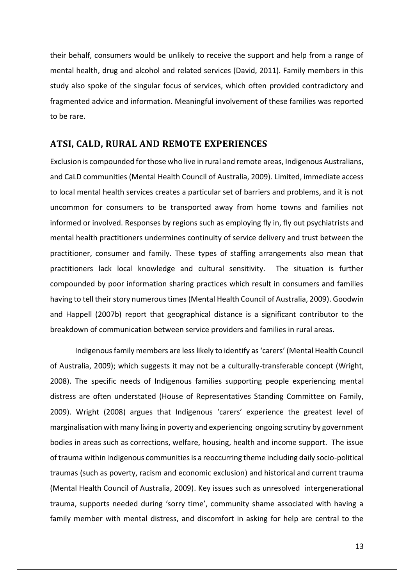their behalf, consumers would be unlikely to receive the support and help from a range of mental health, drug and alcohol and related services (David, 2011). Family members in this study also spoke of the singular focus of services, which often provided contradictory and fragmented advice and information. Meaningful involvement of these families was reported to be rare.

#### <span id="page-14-0"></span>**ATSI, CALD, RURAL AND REMOTE EXPERIENCES**

Exclusion is compounded for those who live in rural and remote areas, Indigenous Australians, and CaLD communities (Mental Health Council of Australia, 2009). Limited, immediate access to local mental health services creates a particular set of barriers and problems, and it is not uncommon for consumers to be transported away from home towns and families not informed or involved. Responses by regions such as employing fly in, fly out psychiatrists and mental health practitioners undermines continuity of service delivery and trust between the practitioner, consumer and family. These types of staffing arrangements also mean that practitioners lack local knowledge and cultural sensitivity. The situation is further compounded by poor information sharing practices which result in consumers and families having to tell their story numerous times (Mental Health Council of Australia, 2009). Goodwin and Happell (2007b) report that geographical distance is a significant contributor to the breakdown of communication between service providers and families in rural areas.

Indigenousfamily members are less likely to identify as 'carers' (Mental Health Council of Australia, 2009); which suggests it may not be a culturally-transferable concept (Wright, 2008). The specific needs of Indigenous families supporting people experiencing mental distress are often understated (House of Representatives Standing Committee on Family, 2009). Wright (2008) argues that Indigenous 'carers' experience the greatest level of marginalisation with many living in poverty and experiencing ongoing scrutiny by government bodies in areas such as corrections, welfare, housing, health and income support. The issue of trauma within Indigenous communities is a reoccurring theme including daily socio-political traumas (such as poverty, racism and economic exclusion) and historical and current trauma (Mental Health Council of Australia, 2009). Key issues such as unresolved intergenerational trauma, supports needed during 'sorry time', community shame associated with having a family member with mental distress, and discomfort in asking for help are central to the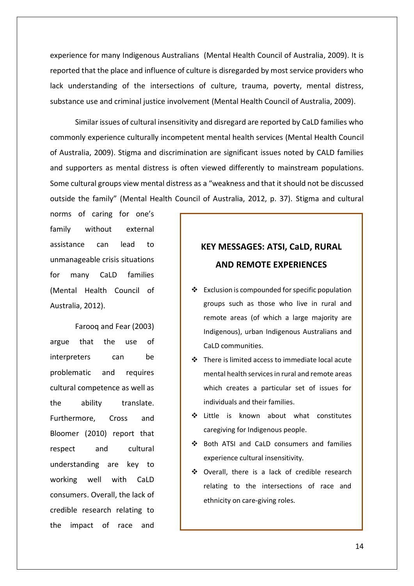experience for many Indigenous Australians (Mental Health Council of Australia, 2009). It is reported that the place and influence of culture is disregarded by most service providers who lack understanding of the intersections of culture, trauma, poverty, mental distress, substance use and criminal justice involvement (Mental Health Council of Australia, 2009).

Similar issues of cultural insensitivity and disregard are reported by CaLD families who commonly experience culturally incompetent mental health services (Mental Health Council of Australia, 2009). Stigma and discrimination are significant issues noted by CALD families and supporters as mental distress is often viewed differently to mainstream populations. Some cultural groups view mental distress as a "weakness and that it should not be discussed outside the family" (Mental Health Council of Australia, 2012, p. 37). Stigma and cultural

norms of caring for one's family without external assistance can lead to unmanageable crisis situations for many CaLD families (Mental Health Council of Australia, 2012).

Farooq and Fear (2003) argue that the use of interpreters can be problematic and requires cultural competence as well as the ability translate. Furthermore, Cross and Bloomer (2010) report that respect and cultural understanding are key to working well with CaLD consumers. Overall, the lack of credible research relating to the impact of race and

# **KEY MESSAGES: ATSI, CaLD, RURAL AND REMOTE EXPERIENCES**

- $\triangleleft$  Exclusion is compounded for specific population groups such as those who live in rural and remote areas (of which a large majority are Indigenous), urban Indigenous Australians and CaLD communities.
- $\div$  There is limited access to immediate local acute mental health services in rural and remote areas which creates a particular set of issues for individuals and their families.
- ❖ Little is known about what constitutes caregiving for Indigenous people.
- ❖ Both ATSI and CaLD consumers and families experience cultural insensitivity.
- ❖ Overall, there is a lack of credible research relating to the intersections of race and ethnicity on care-giving roles.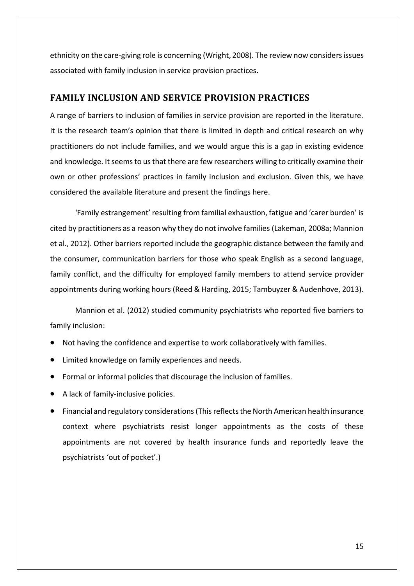ethnicity on the care-giving role is concerning (Wright, 2008). The review now considers issues associated with family inclusion in service provision practices.

## <span id="page-16-0"></span>**FAMILY INCLUSION AND SERVICE PROVISION PRACTICES**

A range of barriers to inclusion of families in service provision are reported in the literature. It is the research team's opinion that there is limited in depth and critical research on why practitioners do not include families, and we would argue this is a gap in existing evidence and knowledge. It seems to us that there are few researchers willing to critically examine their own or other professions' practices in family inclusion and exclusion. Given this, we have considered the available literature and present the findings here.

'Family estrangement' resulting from familial exhaustion, fatigue and 'carer burden' is cited by practitioners as a reason why they do not involve families (Lakeman, 2008a; Mannion et al., 2012). Other barriers reported include the geographic distance between the family and the consumer, communication barriers for those who speak English as a second language, family conflict, and the difficulty for employed family members to attend service provider appointments during working hours (Reed & Harding, 2015; Tambuyzer & Audenhove, 2013).

Mannion et al. (2012) studied community psychiatrists who reported five barriers to family inclusion:

- Not having the confidence and expertise to work collaboratively with families.
- Limited knowledge on family experiences and needs.
- Formal or informal policies that discourage the inclusion of families.
- A lack of family-inclusive policies.
- Financial and regulatory considerations (This reflectsthe North American health insurance context where psychiatrists resist longer appointments as the costs of these appointments are not covered by health insurance funds and reportedly leave the psychiatrists 'out of pocket'.)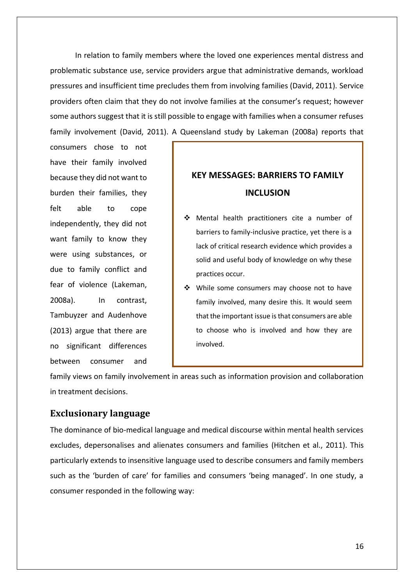In relation to family members where the loved one experiences mental distress and problematic substance use, service providers argue that administrative demands, workload pressures and insufficient time precludes them from involving families (David, 2011). Service providers often claim that they do not involve families at the consumer's request; however some authors suggest that it is still possible to engage with families when a consumer refuses family involvement (David, 2011). A Queensland study by Lakeman (2008a) reports that

consumers chose to not have their family involved because they did not want to burden their families, they felt able to cope independently, they did not want family to know they were using substances, or due to family conflict and fear of violence (Lakeman, 2008a). In contrast, Tambuyzer and Audenhove (2013) argue that there are no significant differences between consumer and

# **KEY MESSAGES: BARRIERS TO FAMILY INCLUSION**

- Mental health practitioners cite a number of barriers to family-inclusive practice, yet there is a lack of critical research evidence which provides a solid and useful body of knowledge on why these practices occur.
- ❖ While some consumers may choose not to have family involved, many desire this. It would seem that the important issue is that consumers are able to choose who is involved and how they are involved.

family views on family involvement in areas such as information provision and collaboration in treatment decisions.

### <span id="page-17-0"></span>**Exclusionary language**

The dominance of bio-medical language and medical discourse within mental health services excludes, depersonalises and alienates consumers and families (Hitchen et al., 2011). This particularly extends to insensitive language used to describe consumers and family members such as the 'burden of care' for families and consumers 'being managed'. In one study, a consumer responded in the following way: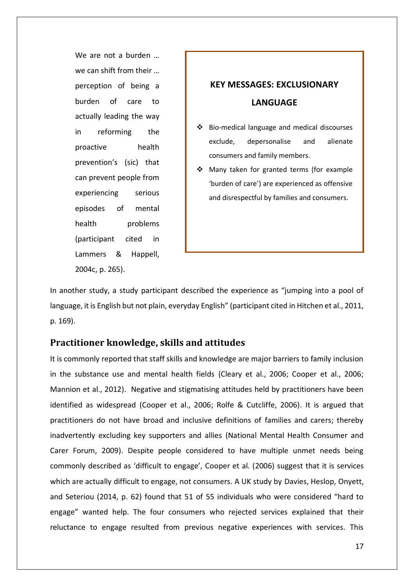We are not a burden … we can shift from their … perception of being a burden of care to actually leading the way in reforming the proactive health prevention's (sic) that can prevent people from experiencing serious episodes of mental health problems (participant cited in Lammers & Happell, 2004c, p. 265).

# **KEY MESSAGES: EXCLUSIONARY LANGUAGE**

- $\div$  Bio-medical language and medical discourses exclude, depersonalise and alienate consumers and family members.
- Many taken for granted terms (for example 'burden of care') are experienced as offensive and disrespectful by families and consumers.

In another study, a study participant described the experience as "jumping into a pool of language, it is English but not plain, everyday English" (participant cited in Hitchen et al., 2011, p. 169).

## <span id="page-18-0"></span>**Practitioner knowledge, skills and attitudes**

It is commonly reported that staff skills and knowledge are major barriers to family inclusion in the substance use and mental health fields (Cleary et al., 2006; Cooper et al., 2006; Mannion et al., 2012). Negative and stigmatising attitudes held by practitioners have been identified as widespread (Cooper et al., 2006; Rolfe & Cutcliffe, 2006). It is argued that practitioners do not have broad and inclusive definitions of families and carers; thereby inadvertently excluding key supporters and allies (National Mental Health Consumer and Carer Forum, 2009). Despite people considered to have multiple unmet needs being commonly described as 'difficult to engage', Cooper et al. (2006) suggest that it is services which are actually difficult to engage, not consumers. A UK study by Davies, Heslop, Onyett, and Seteriou (2014, p. 62) found that 51 of 55 individuals who were considered "hard to engage" wanted help. The four consumers who rejected services explained that their reluctance to engage resulted from previous negative experiences with services. This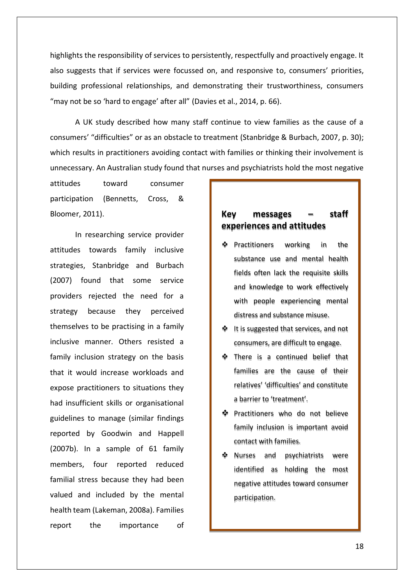highlights the responsibility of services to persistently, respectfully and proactively engage. It also suggests that if services were focussed on, and responsive to, consumers' priorities, building professional relationships, and demonstrating their trustworthiness, consumers "may not be so 'hard to engage' after all" (Davies et al., 2014, p. 66).

A UK study described how many staff continue to view families as the cause of a consumers' "difficulties" or as an obstacle to treatment (Stanbridge & Burbach, 2007, p. 30); which results in practitioners avoiding contact with families or thinking their involvement is unnecessary. An Australian study found that nurses and psychiatrists hold the most negative

attitudes toward consumer participation (Bennetts, Cross, & Bloomer, 2011).

In researching service provider attitudes towards family inclusive strategies, Stanbridge and Burbach (2007) found that some service providers rejected the need for a strategy because they perceived themselves to be practising in a family inclusive manner. Others resisted a family inclusion strategy on the basis that it would increase workloads and expose practitioners to situations they had insufficient skills or organisational guidelines to manage (similar findings reported by Goodwin and Happell (2007b). In a sample of 61 family members, four reported reduced familial stress because they had been valued and included by the mental health team (Lakeman, 2008a). Families report the importance of

## **Key messages – staff experiences and attitudes**

- $\Phi$  Practitioners working in the substance use and mental health fields often lack the requisite skills and knowledge to work effectively with people experiencing mental distress and substance misuse.
- $\triangleq$  It is suggested that services, and not consumers, are difficult to engage.
- $\Phi$  There is a continued belief that families are the cause of their relatives' 'difficulties' and constitute a barrier to 'treatment'.
- $\Phi$  Practitioners who do not believe family inclusion is important avoid contact with families.
- Nurses and psychiatrists were identified as holding the most negative attitudes toward consumer participation.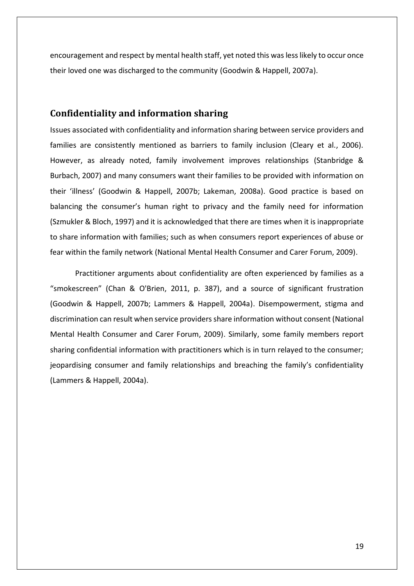encouragement and respect by mental health staff, yet noted this was less likely to occur once their loved one was discharged to the community (Goodwin & Happell, 2007a).

#### <span id="page-20-0"></span>**Confidentiality and information sharing**

Issues associated with confidentiality and information sharing between service providers and families are consistently mentioned as barriers to family inclusion (Cleary et al., 2006). However, as already noted, family involvement improves relationships (Stanbridge & Burbach, 2007) and many consumers want their families to be provided with information on their 'illness' (Goodwin & Happell, 2007b; Lakeman, 2008a). Good practice is based on balancing the consumer's human right to privacy and the family need for information (Szmukler & Bloch, 1997) and it is acknowledged that there are times when it is inappropriate to share information with families; such as when consumers report experiences of abuse or fear within the family network (National Mental Health Consumer and Carer Forum, 2009).

Practitioner arguments about confidentiality are often experienced by families as a "smokescreen" (Chan & O'Brien, 2011, p. 387), and a source of significant frustration (Goodwin & Happell, 2007b; Lammers & Happell, 2004a). Disempowerment, stigma and discrimination can result when service providers share information without consent (National Mental Health Consumer and Carer Forum, 2009). Similarly, some family members report sharing confidential information with practitioners which is in turn relayed to the consumer; jeopardising consumer and family relationships and breaching the family's confidentiality (Lammers & Happell, 2004a).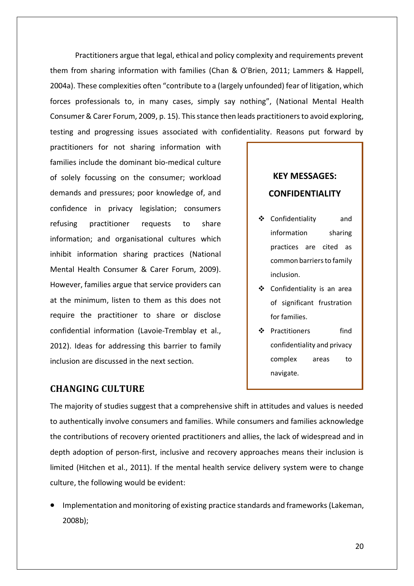Practitioners argue that legal, ethical and policy complexity and requirements prevent them from sharing information with families (Chan & O'Brien, 2011; Lammers & Happell, 2004a). These complexities often "contribute to a (largely unfounded) fear of litigation, which forces professionals to, in many cases, simply say nothing", (National Mental Health Consumer & Carer Forum, 2009, p. 15). This stance then leads practitioners to avoid exploring, testing and progressing issues associated with confidentiality. Reasons put forward by

practitioners for not sharing information with families include the dominant bio-medical culture of solely focussing on the consumer; workload demands and pressures; poor knowledge of, and confidence in privacy legislation; consumers refusing practitioner requests to share information; and organisational cultures which inhibit information sharing practices (National Mental Health Consumer & Carer Forum, 2009). However, families argue that service providers can at the minimum, listen to them as this does not require the practitioner to share or disclose confidential information (Lavoie-Tremblay et al., 2012). Ideas for addressing this barrier to family inclusion are discussed in the next section.

# **KEY MESSAGES: CONFIDENTIALITY**

- Confidentiality and information sharing practices are cited as common barriers to family inclusion.
- Confidentiality is an area of significant frustration for families.
- ❖ Practitioners find confidentiality and privacy complex areas to navigate.

## <span id="page-21-0"></span>**CHANGING CULTURE**

The majority of studies suggest that a comprehensive shift in attitudes and values is needed to authentically involve consumers and families. While consumers and families acknowledge the contributions of recovery oriented practitioners and allies, the lack of widespread and in depth adoption of person-first, inclusive and recovery approaches means their inclusion is limited (Hitchen et al., 2011). If the mental health service delivery system were to change culture, the following would be evident:

 Implementation and monitoring of existing practice standards and frameworks (Lakeman, 2008b);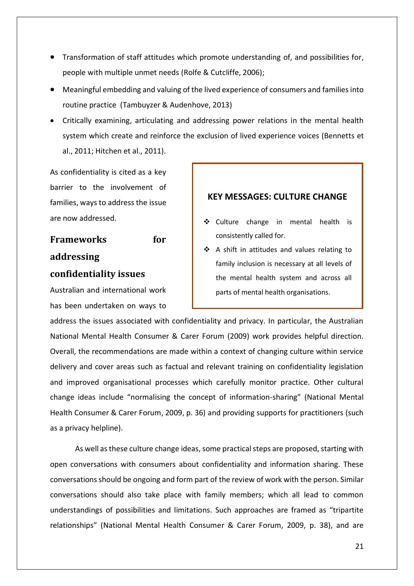- Transformation of staff attitudes which promote understanding of, and possibilities for, people with multiple unmet needs (Rolfe & Cutcliffe, 2006);
- Meaningful embedding and valuing of the lived experience of consumers and families into routine practice (Tambuyzer & Audenhove, 2013)
- Critically examining, articulating and addressing power relations in the mental health system which create and reinforce the exclusion of lived experience voices (Bennetts et al., 2011; Hitchen et al., 2011).

As confidentiality is cited as a key barrier to the involvement of families, ways to address the issue are now addressed.

# <span id="page-22-0"></span>**Frameworks for addressing confidentiality issues**

Australian and international work has been undertaken on ways to

## **KEY MESSAGES: CULTURE CHANGE**

- ❖ Culture change in mental health is consistently called for.
- $\div$  A shift in attitudes and values relating to family inclusion is necessary at all levels of the mental health system and across all parts of mental health organisations.

address the issues associated with confidentiality and privacy. In particular, the Australian National Mental Health Consumer & Carer Forum (2009) work provides helpful direction. Overall, the recommendations are made within a context of changing culture within service delivery and cover areas such as factual and relevant training on confidentiality legislation and improved organisational processes which carefully monitor practice. Other cultural change ideas include "normalising the concept of information-sharing" (National Mental Health Consumer & Carer Forum, 2009, p. 36) and providing supports for practitioners (such as a privacy helpline).

As well as these culture change ideas, some practical steps are proposed, starting with open conversations with consumers about confidentiality and information sharing. These conversations should be ongoing and form part of the review of work with the person. Similar conversations should also take place with family members; which all lead to common understandings of possibilities and limitations. Such approaches are framed as "tripartite relationships" (National Mental Health Consumer & Carer Forum, 2009, p. 38), and are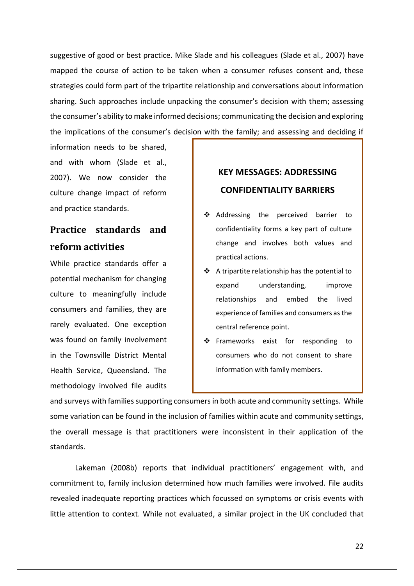suggestive of good or best practice. Mike Slade and his colleagues (Slade et al., 2007) have mapped the course of action to be taken when a consumer refuses consent and, these strategies could form part of the tripartite relationship and conversations about information sharing. Such approaches include unpacking the consumer's decision with them; assessing the consumer's ability to make informed decisions; communicating the decision and exploring the implications of the consumer's decision with the family; and assessing and deciding if

information needs to be shared, and with whom (Slade et al., 2007). We now consider the culture change impact of reform and practice standards.

# <span id="page-23-0"></span>**Practice standards and reform activities**

While practice standards offer a potential mechanism for changing culture to meaningfully include consumers and families, they are rarely evaluated. One exception was found on family involvement in the Townsville District Mental Health Service, Queensland. The methodology involved file audits

# **KEY MESSAGES: ADDRESSING CONFIDENTIALITY BARRIERS**

- ❖ Addressing the perceived barrier to confidentiality forms a key part of culture change and involves both values and practical actions.
- $\div$  A tripartite relationship has the potential to expand understanding, improve relationships and embed the lived experience of families and consumers as the central reference point.
- $\div$  Frameworks exist for responding to consumers who do not consent to share information with family members.

and surveys with families supporting consumers in both acute and community settings. While some variation can be found in the inclusion of families within acute and community settings, the overall message is that practitioners were inconsistent in their application of the standards.

Lakeman (2008b) reports that individual practitioners' engagement with, and commitment to, family inclusion determined how much families were involved. File audits revealed inadequate reporting practices which focussed on symptoms or crisis events with little attention to context. While not evaluated, a similar project in the UK concluded that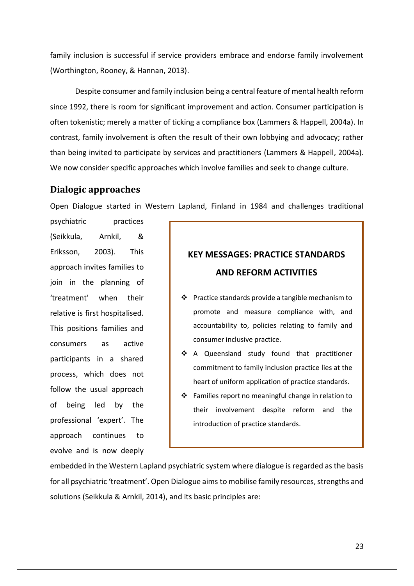family inclusion is successful if service providers embrace and endorse family involvement (Worthington, Rooney, & Hannan, 2013).

Despite consumer and family inclusion being a central feature of mental health reform since 1992, there is room for significant improvement and action. Consumer participation is often tokenistic; merely a matter of ticking a compliance box (Lammers & Happell, 2004a). In contrast, family involvement is often the result of their own lobbying and advocacy; rather than being invited to participate by services and practitioners (Lammers & Happell, 2004a). We now consider specific approaches which involve families and seek to change culture.

#### <span id="page-24-0"></span>**Dialogic approaches**

Open Dialogue started in Western Lapland, Finland in 1984 and challenges traditional

psychiatric practices (Seikkula, Arnkil, & Eriksson, 2003). This approach invites families to join in the planning of 'treatment' when their relative is first hospitalised. This positions families and consumers as active participants in a shared process, which does not follow the usual approach of being led by the professional 'expert'. The approach continues to evolve and is now deeply

# **KEY MESSAGES: PRACTICE STANDARDS AND REFORM ACTIVITIES**

- $\cdot \cdot$  Practice standards provide a tangible mechanism to promote and measure compliance with, and accountability to, policies relating to family and consumer inclusive practice.
- ❖ A Queensland study found that practitioner commitment to family inclusion practice lies at the heart of uniform application of practice standards.
- $\cdot$  Families report no meaningful change in relation to their involvement despite reform and the introduction of practice standards.

embedded in the Western Lapland psychiatric system where dialogue is regarded as the basis for all psychiatric 'treatment'. Open Dialogue aims to mobilise family resources, strengths and solutions (Seikkula & Arnkil, 2014), and its basic principles are: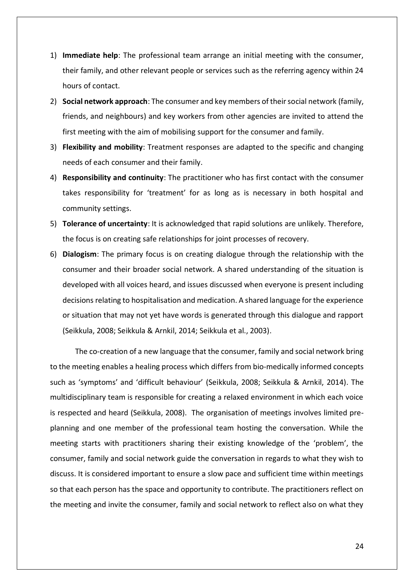- 1) **Immediate help**: The professional team arrange an initial meeting with the consumer, their family, and other relevant people or services such as the referring agency within 24 hours of contact.
- 2) **Social network approach**: The consumer and key members of their social network (family, friends, and neighbours) and key workers from other agencies are invited to attend the first meeting with the aim of mobilising support for the consumer and family.
- 3) **Flexibility and mobility**: Treatment responses are adapted to the specific and changing needs of each consumer and their family.
- 4) **Responsibility and continuity**: The practitioner who has first contact with the consumer takes responsibility for 'treatment' for as long as is necessary in both hospital and community settings.
- 5) **Tolerance of uncertainty**: It is acknowledged that rapid solutions are unlikely. Therefore, the focus is on creating safe relationships for joint processes of recovery.
- 6) **Dialogism**: The primary focus is on creating dialogue through the relationship with the consumer and their broader social network. A shared understanding of the situation is developed with all voices heard, and issues discussed when everyone is present including decisions relating to hospitalisation and medication. A shared language for the experience or situation that may not yet have words is generated through this dialogue and rapport (Seikkula, 2008; Seikkula & Arnkil, 2014; Seikkula et al., 2003).

The co-creation of a new language that the consumer, family and social network bring to the meeting enables a healing process which differs from bio-medically informed concepts such as 'symptoms' and 'difficult behaviour' (Seikkula, 2008; Seikkula & Arnkil, 2014). The multidisciplinary team is responsible for creating a relaxed environment in which each voice is respected and heard (Seikkula, 2008). The organisation of meetings involves limited preplanning and one member of the professional team hosting the conversation. While the meeting starts with practitioners sharing their existing knowledge of the 'problem', the consumer, family and social network guide the conversation in regards to what they wish to discuss. It is considered important to ensure a slow pace and sufficient time within meetings so that each person has the space and opportunity to contribute. The practitioners reflect on the meeting and invite the consumer, family and social network to reflect also on what they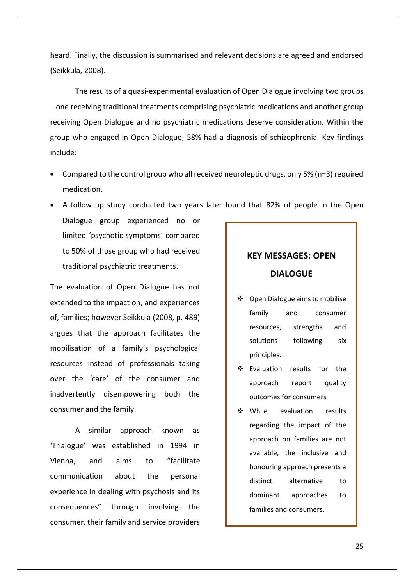heard. Finally, the discussion is summarised and relevant decisions are agreed and endorsed (Seikkula, 2008).

The results of a quasi-experimental evaluation of Open Dialogue involving two groups – one receiving traditional treatments comprising psychiatric medications and another group receiving Open Dialogue and no psychiatric medications deserve consideration. Within the group who engaged in Open Dialogue, 58% had a diagnosis of schizophrenia. Key findings include:

- Compared to the control group who all received neuroleptic drugs, only 5% (n=3) required medication.
- A follow up study conducted two years later found that 82% of people in the Open
- Dialogue group experienced no or limited 'psychotic symptoms' compared to 50% of those group who had received traditional psychiatric treatments.

The evaluation of Open Dialogue has not extended to the impact on, and experiences of, families; however Seikkula (2008, p. 489) argues that the approach facilitates the mobilisation of a family's psychological resources instead of professionals taking over the 'care' of the consumer and inadvertently disempowering both the consumer and the family.

A similar approach known as 'Trialogue' was established in 1994 in Vienna, and aims to "facilitate communication about the personal experience in dealing with psychosis and its consequences" through involving the consumer, their family and service providers

# **KEY MESSAGES: OPEN DIALOGUE**

- Open Dialogue aims to mobilise family and consumer resources, strengths and solutions following six principles.
- Evaluation results for the approach report quality outcomes for consumers
- While evaluation results regarding the impact of the approach on families are not available, the inclusive and honouring approach presents a distinct alternative to dominant approaches to families and consumers.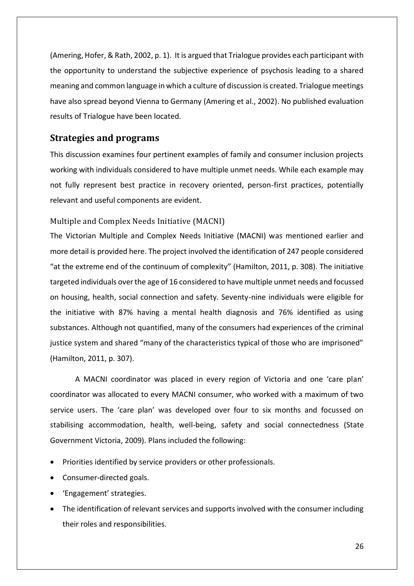(Amering, Hofer, & Rath, 2002, p. 1). It is argued that Trialogue provides each participant with the opportunity to understand the subjective experience of psychosis leading to a shared meaning and common language in which a culture of discussion is created. Trialogue meetings have also spread beyond Vienna to Germany (Amering et al., 2002). No published evaluation results of Trialogue have been located.

## <span id="page-27-0"></span>**Strategies and programs**

This discussion examines four pertinent examples of family and consumer inclusion projects working with individuals considered to have multiple unmet needs. While each example may not fully represent best practice in recovery oriented, person-first practices, potentially relevant and useful components are evident.

#### <span id="page-27-1"></span>Multiple and Complex Needs Initiative (MACNI)

The Victorian Multiple and Complex Needs Initiative (MACNI) was mentioned earlier and more detail is provided here. The project involved the identification of 247 people considered "at the extreme end of the continuum of complexity" (Hamilton, 2011, p. 308). The initiative targeted individuals over the age of 16 considered to have multiple unmet needs and focussed on housing, health, social connection and safety. Seventy-nine individuals were eligible for the initiative with 87% having a mental health diagnosis and 76% identified as using substances. Although not quantified, many of the consumers had experiences of the criminal justice system and shared "many of the characteristics typical of those who are imprisoned" (Hamilton, 2011, p. 307).

A MACNI coordinator was placed in every region of Victoria and one 'care plan' coordinator was allocated to every MACNI consumer, who worked with a maximum of two service users. The 'care plan' was developed over four to six months and focussed on stabilising accommodation, health, well-being, safety and social connectedness (State Government Victoria, 2009). Plans included the following:

- Priorities identified by service providers or other professionals.
- Consumer-directed goals.
- 'Engagement' strategies.
- The identification of relevant services and supports involved with the consumer including their roles and responsibilities.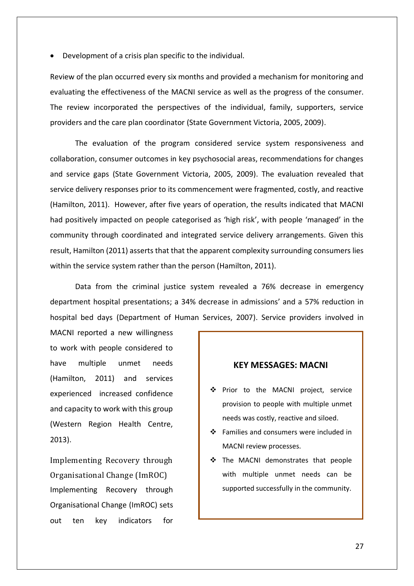Development of a crisis plan specific to the individual.

Review of the plan occurred every six months and provided a mechanism for monitoring and evaluating the effectiveness of the MACNI service as well as the progress of the consumer. The review incorporated the perspectives of the individual, family, supporters, service providers and the care plan coordinator (State Government Victoria, 2005, 2009).

The evaluation of the program considered service system responsiveness and collaboration, consumer outcomes in key psychosocial areas, recommendations for changes and service gaps (State Government Victoria, 2005, 2009). The evaluation revealed that service delivery responses prior to its commencement were fragmented, costly, and reactive (Hamilton, 2011). However, after five years of operation, the results indicated that MACNI had positively impacted on people categorised as 'high risk', with people 'managed' in the community through coordinated and integrated service delivery arrangements. Given this result, Hamilton (2011) asserts that that the apparent complexity surrounding consumers lies within the service system rather than the person (Hamilton, 2011).

Data from the criminal justice system revealed a 76% decrease in emergency department hospital presentations; a 34% decrease in admissions' and a 57% reduction in hospital bed days (Department of Human Services, 2007). Service providers involved in

MACNI reported a new willingness to work with people considered to have multiple unmet needs (Hamilton, 2011) and services experienced increased confidence and capacity to work with this group (Western Region Health Centre, 2013).

<span id="page-28-0"></span>Implementing Recovery through Organisational Change (ImROC) Implementing Recovery through Organisational Change (ImROC) sets out ten key indicators for

#### **KEY MESSAGES: MACNI**

- ◆ Prior to the MACNI project, service provision to people with multiple unmet needs was costly, reactive and siloed.
- ❖ Families and consumers were included in MACNI review processes.
- \* The MACNI demonstrates that people with multiple unmet needs can be supported successfully in the community.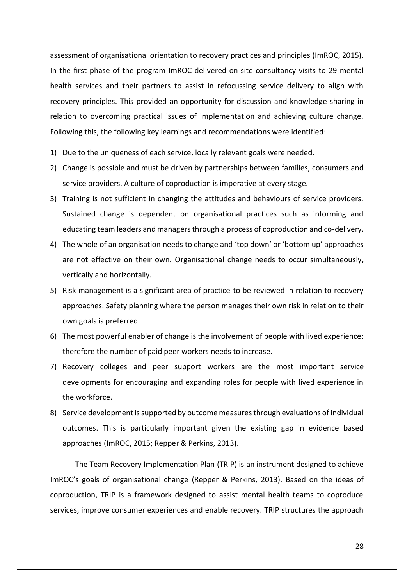assessment of organisational orientation to recovery practices and principles (ImROC, 2015). In the first phase of the program ImROC delivered on-site consultancy visits to 29 mental health services and their partners to assist in refocussing service delivery to align with recovery principles. This provided an opportunity for discussion and knowledge sharing in relation to overcoming practical issues of implementation and achieving culture change. Following this, the following key learnings and recommendations were identified:

- 1) Due to the uniqueness of each service, locally relevant goals were needed.
- 2) Change is possible and must be driven by partnerships between families, consumers and service providers. A culture of coproduction is imperative at every stage.
- 3) Training is not sufficient in changing the attitudes and behaviours of service providers. Sustained change is dependent on organisational practices such as informing and educating team leaders and managers through a process of coproduction and co-delivery.
- 4) The whole of an organisation needs to change and 'top down' or 'bottom up' approaches are not effective on their own. Organisational change needs to occur simultaneously, vertically and horizontally.
- 5) Risk management is a significant area of practice to be reviewed in relation to recovery approaches. Safety planning where the person manages their own risk in relation to their own goals is preferred.
- 6) The most powerful enabler of change is the involvement of people with lived experience; therefore the number of paid peer workers needs to increase.
- 7) Recovery colleges and peer support workers are the most important service developments for encouraging and expanding roles for people with lived experience in the workforce.
- 8) Service development is supported by outcome measures through evaluations of individual outcomes. This is particularly important given the existing gap in evidence based approaches (ImROC, 2015; Repper & Perkins, 2013).

The Team Recovery Implementation Plan (TRIP) is an instrument designed to achieve ImROC's goals of organisational change (Repper & Perkins, 2013). Based on the ideas of coproduction, TRIP is a framework designed to assist mental health teams to coproduce services, improve consumer experiences and enable recovery. TRIP structures the approach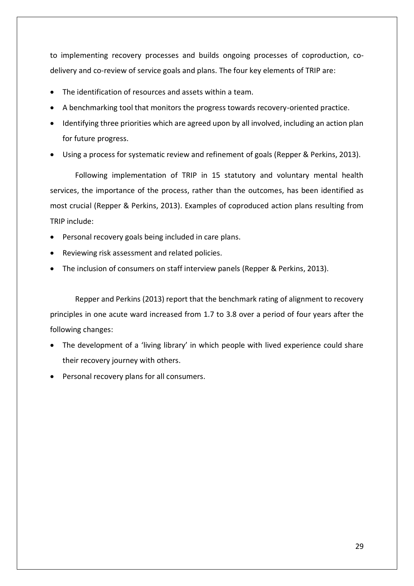to implementing recovery processes and builds ongoing processes of coproduction, codelivery and co-review of service goals and plans. The four key elements of TRIP are:

- The identification of resources and assets within a team.
- A benchmarking tool that monitors the progress towards recovery-oriented practice.
- Identifying three priorities which are agreed upon by all involved, including an action plan for future progress.
- Using a process for systematic review and refinement of goals (Repper & Perkins, 2013).

Following implementation of TRIP in 15 statutory and voluntary mental health services, the importance of the process, rather than the outcomes, has been identified as most crucial (Repper & Perkins, 2013). Examples of coproduced action plans resulting from TRIP include:

- Personal recovery goals being included in care plans.
- Reviewing risk assessment and related policies.
- The inclusion of consumers on staff interview panels (Repper & Perkins, 2013).

Repper and Perkins (2013) report that the benchmark rating of alignment to recovery principles in one acute ward increased from 1.7 to 3.8 over a period of four years after the following changes:

- The development of a 'living library' in which people with lived experience could share their recovery journey with others.
- Personal recovery plans for all consumers.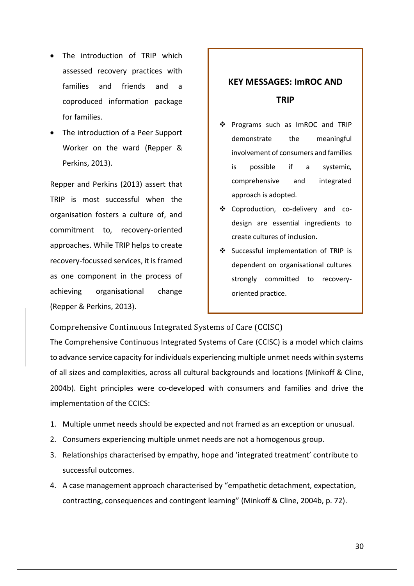- The introduction of TRIP which assessed recovery practices with families and friends and a coproduced information package for families.
- The introduction of a Peer Support Worker on the ward (Repper & Perkins, 2013).

Repper and Perkins (2013) assert that TRIP is most successful when the organisation fosters a culture of, and commitment to, recovery-oriented approaches. While TRIP helps to create recovery-focussed services, it is framed as one component in the process of achieving organisational change (Repper & Perkins, 2013).

# **KEY MESSAGES: ImROC AND TRIP**

- Programs such as ImROC and TRIP demonstrate the meaningful involvement of consumers and families is possible if a systemic, comprehensive and integrated approach is adopted.
- Coproduction, co-delivery and codesign are essential ingredients to create cultures of inclusion.
- Successful implementation of TRIP is dependent on organisational cultures strongly committed to recoveryoriented practice.

<span id="page-31-0"></span>Comprehensive Continuous Integrated Systems of Care (CCISC)

The Comprehensive Continuous Integrated Systems of Care (CCISC) is a model which claims to advance service capacity for individuals experiencing multiple unmet needs within systems of all sizes and complexities, across all cultural backgrounds and locations (Minkoff & Cline, 2004b). Eight principles were co-developed with consumers and families and drive the implementation of the CCICS:

- 1. Multiple unmet needs should be expected and not framed as an exception or unusual.
- 2. Consumers experiencing multiple unmet needs are not a homogenous group.
- 3. Relationships characterised by empathy, hope and 'integrated treatment' contribute to successful outcomes.
- 4. A case management approach characterised by "empathetic detachment, expectation, contracting, consequences and contingent learning" (Minkoff & Cline, 2004b, p. 72).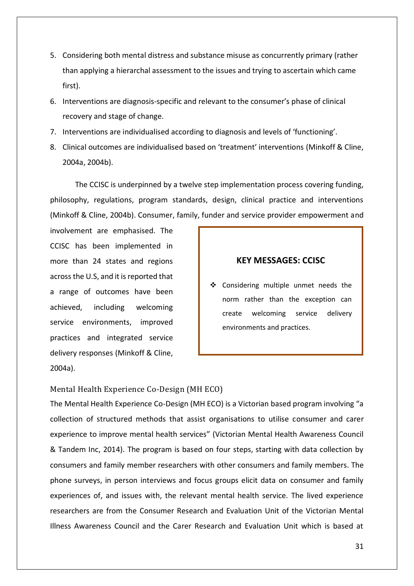- 5. Considering both mental distress and substance misuse as concurrently primary (rather than applying a hierarchal assessment to the issues and trying to ascertain which came first).
- 6. Interventions are diagnosis-specific and relevant to the consumer's phase of clinical recovery and stage of change.
- 7. Interventions are individualised according to diagnosis and levels of 'functioning'.
- 8. Clinical outcomes are individualised based on 'treatment' interventions (Minkoff & Cline, 2004a, 2004b).

The CCISC is underpinned by a twelve step implementation process covering funding, philosophy, regulations, program standards, design, clinical practice and interventions (Minkoff & Cline, 2004b). Consumer, family, funder and service provider empowerment and

involvement are emphasised. The CCISC has been implemented in more than 24 states and regions across the U.S, and it is reported that a range of outcomes have been achieved, including welcoming service environments, improved practices and integrated service delivery responses (Minkoff & Cline, 2004a).

### **KEY MESSAGES: CCISC**

❖ Considering multiple unmet needs the norm rather than the exception can create welcoming service delivery environments and practices.

<span id="page-32-0"></span>Mental Health Experience Co-Design (MH ECO)

The Mental Health Experience Co-Design (MH ECO) is a Victorian based program involving "a collection of structured methods that assist organisations to utilise consumer and carer experience to improve mental health services" (Victorian Mental Health Awareness Council & Tandem Inc, 2014). The program is based on four steps, starting with data collection by consumers and family member researchers with other consumers and family members. The phone surveys, in person interviews and focus groups elicit data on consumer and family experiences of, and issues with, the relevant mental health service. The lived experience researchers are from the Consumer Research and Evaluation Unit of the Victorian Mental Illness Awareness Council and the Carer Research and Evaluation Unit which is based at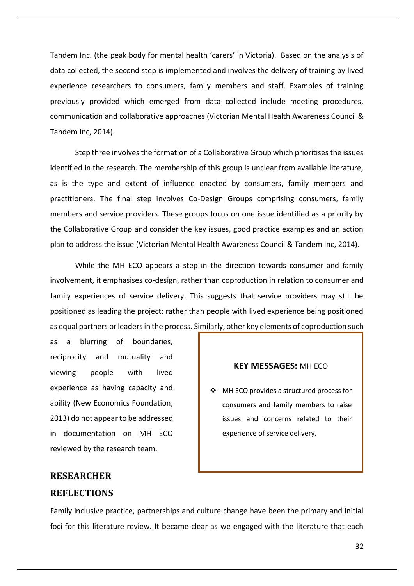Tandem Inc. (the peak body for mental health 'carers' in Victoria). Based on the analysis of data collected, the second step is implemented and involves the delivery of training by lived experience researchers to consumers, family members and staff. Examples of training previously provided which emerged from data collected include meeting procedures, communication and collaborative approaches (Victorian Mental Health Awareness Council & Tandem Inc, 2014).

Step three involves the formation of a Collaborative Group which prioritises the issues identified in the research. The membership of this group is unclear from available literature, as is the type and extent of influence enacted by consumers, family members and practitioners. The final step involves Co-Design Groups comprising consumers, family members and service providers. These groups focus on one issue identified as a priority by the Collaborative Group and consider the key issues, good practice examples and an action plan to address the issue (Victorian Mental Health Awareness Council & Tandem Inc, 2014).

While the MH ECO appears a step in the direction towards consumer and family involvement, it emphasises co-design, rather than coproduction in relation to consumer and family experiences of service delivery. This suggests that service providers may still be positioned as leading the project; rather than people with lived experience being positioned as equal partners or leaders in the process. Similarly, other key elements of coproduction such

as a blurring of boundaries, reciprocity and mutuality and viewing people with lived experience as having capacity and ability (New Economics Foundation, 2013) do not appear to be addressed in documentation on MH ECO reviewed by the research team.

#### **KEY MESSAGES:** MH ECO

❖ MH ECO provides a structured process for consumers and family members to raise issues and concerns related to their experience of service delivery.

## <span id="page-33-0"></span>**RESEARCHER REFLECTIONS**

Family inclusive practice, partnerships and culture change have been the primary and initial foci for this literature review. It became clear as we engaged with the literature that each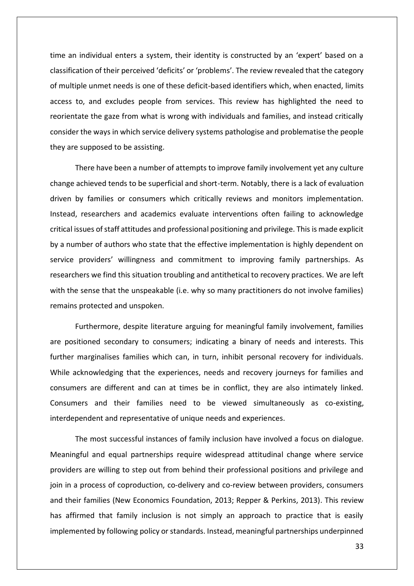time an individual enters a system, their identity is constructed by an 'expert' based on a classification of their perceived 'deficits' or 'problems'. The review revealed that the category of multiple unmet needs is one of these deficit-based identifiers which, when enacted, limits access to, and excludes people from services. This review has highlighted the need to reorientate the gaze from what is wrong with individuals and families, and instead critically consider the ways in which service delivery systems pathologise and problematise the people they are supposed to be assisting.

There have been a number of attempts to improve family involvement yet any culture change achieved tends to be superficial and short-term. Notably, there is a lack of evaluation driven by families or consumers which critically reviews and monitors implementation. Instead, researchers and academics evaluate interventions often failing to acknowledge critical issues of staff attitudes and professional positioning and privilege. This is made explicit by a number of authors who state that the effective implementation is highly dependent on service providers' willingness and commitment to improving family partnerships. As researchers we find this situation troubling and antithetical to recovery practices. We are left with the sense that the unspeakable (i.e. why so many practitioners do not involve families) remains protected and unspoken.

Furthermore, despite literature arguing for meaningful family involvement, families are positioned secondary to consumers; indicating a binary of needs and interests. This further marginalises families which can, in turn, inhibit personal recovery for individuals. While acknowledging that the experiences, needs and recovery journeys for families and consumers are different and can at times be in conflict, they are also intimately linked. Consumers and their families need to be viewed simultaneously as co-existing, interdependent and representative of unique needs and experiences.

The most successful instances of family inclusion have involved a focus on dialogue. Meaningful and equal partnerships require widespread attitudinal change where service providers are willing to step out from behind their professional positions and privilege and join in a process of coproduction, co-delivery and co-review between providers, consumers and their families (New Economics Foundation, 2013; Repper & Perkins, 2013). This review has affirmed that family inclusion is not simply an approach to practice that is easily implemented by following policy or standards. Instead, meaningful partnerships underpinned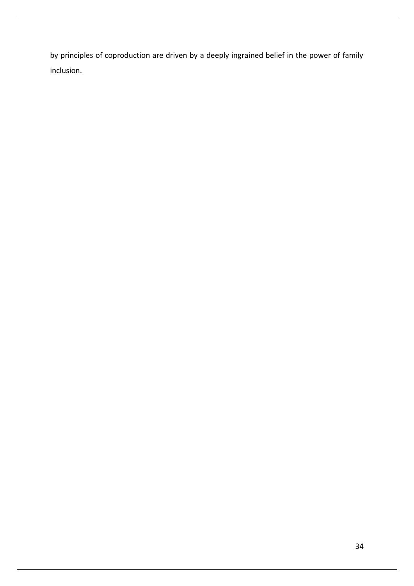by principles of coproduction are driven by a deeply ingrained belief in the power of family inclusion.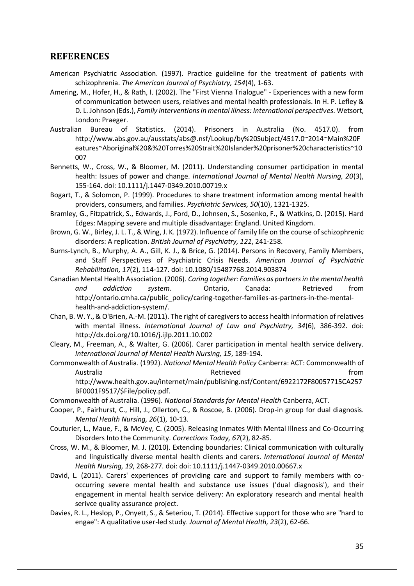### <span id="page-36-0"></span>**REFERENCES**

- American Psychiatric Association. (1997). Practice guideline for the treatment of patients with schizophrenia. *The American Journal of Psychiatry, 154*(4), 1-63.
- Amering, M., Hofer, H., & Rath, I. (2002). The "First Vienna Trialogue" Experiences with a new form of communication between users, relatives and mental health professionals. In H. P. Lefley & D. L. Johnson (Eds.), *Family interventions in mental illness: International perspectives*. Wetsort, London: Praeger.
- Australian Bureau of Statistics. (2014). Prisoners in Australia (No. 4517.0). from http://www.abs.gov.au/ausstats/abs@.nsf/Lookup/by%20Subject/4517.0~2014~Main%20F eatures~Aboriginal%20&%20Torres%20Strait%20Islander%20prisoner%20characteristics~10 007
- Bennetts, W., Cross, W., & Bloomer, M. (2011). Understanding consumer participation in mental health: Issues of power and change. *International Journal of Mental Health Nursing, 20*(3), 155-164. doi: 10.1111/j.1447-0349.2010.00719.x
- Bogart, T., & Solomon, P. (1999). Procedures to share treatment information among mental health providers, consumers, and families. *Psychiatric Services, 50*(10), 1321-1325.
- Bramley, G., Fitzpatrick, S., Edwards, J., Ford, D., Johnsen, S., Sosenko, F., & Watkins, D. (2015). Hard Edges: Mapping severe and multiple disadvantage: England. United Kingdom.
- Brown, G. W., Birley, J. L. T., & Wing, J. K. (1972). Influence of family life on the course of schizophrenic disorders: A replication. *British Journal of Psychiatry, 121*, 241-258.
- Burns-Lynch, B., Murphy, A. A., Gill, K. J., & Brice, G. (2014). Persons in Recovery, Family Members, and Staff Perspectives of Psychiatric Crisis Needs. *American Journal of Psychiatric Rehabilitation, 17*(2), 114-127. doi: 10.1080/15487768.2014.903874
- Canadian Mental Health Association. (2006). *Caring together: Families as partners in the mental health and addiction system*. Ontario, Canada: Retrieved from http://ontario.cmha.ca/public\_policy/caring-together-families-as-partners-in-the-mentalhealth-and-addiction-system/.
- Chan, B. W. Y., & O'Brien, A.-M. (2011). The right of caregivers to access health information of relatives with mental illness. *International Journal of Law and Psychiatry, 34*(6), 386-392. doi: http://dx.doi.org/10.1016/j.ijlp.2011.10.002
- Cleary, M., Freeman, A., & Walter, G. (2006). Carer participation in mental health service delivery. *International Journal of Mental Health Nursing, 15*, 189-194.
- Commonwealth of Australia. (1992). *National Mental Health Policy* Canberra: ACT: Commonwealth of Australia and a controller controller and a Retrieved controller and a from the from http://www.health.gov.au/internet/main/publishing.nsf/Content/6922172F80057715CA257 BF0001F9517/\$File/policy.pdf.
- Commonwealth of Australia. (1996). *National Standards for Mental Health* Canberra, ACT.
- Cooper, P., Fairhurst, C., Hill, J., Ollerton, C., & Roscoe, B. (2006). Drop-in group for dual diagnosis. *Mental Health Nursing, 26*(1), 10-13.
- Couturier, L., Maue, F., & McVey, C. (2005). Releasing Inmates With Mental Illness and Co-Occurring Disorders Into the Community. *Corrections Today, 67*(2), 82-85.
- Cross, W. M., & Bloomer, M. J. (2010). Extending boundaries: Clinical communication with culturally and linguistically diverse mental health clients and carers. *International Journal of Mental Health Nursing, 19*, 268-277. doi: doi: 10.1111/j.1447-0349.2010.00667.x
- David, L. (2011). Carers' experiences of providing care and support to family members with cooccurring severe mental health and substance use issues ('dual diagnosis'), and their engagement in mental health service delivery: An exploratory research and mental health serivce quality assurance project.
- Davies, R. L., Heslop, P., Onyett, S., & Seteriou, T. (2014). Effective support for those who are "hard to engae": A qualitative user-led study. *Journal of Mental Health, 23*(2), 62-66.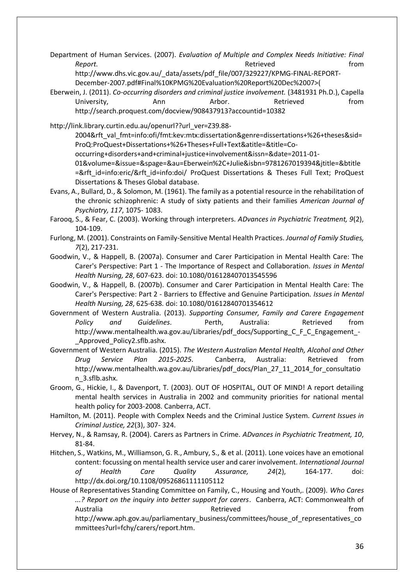Department of Human Services. (2007). *Evaluation of Multiple and Complex Needs Initiative: Final*  Report. **Report Report Report Report Report Report Report Report Report Report Report Report Report Report Report Report Report Report Report Report Report Report Report Report** http://www.dhs.vic.gov.au/\_data/assets/pdf\_file/007/329227/KPMG-FINAL-REPORT-December-2007.pdf#Final%10KPMG%20Evaluation%20Report%20Dec%2007>(

Eberwein, J. (2011). *Co-occurring disorders and criminal justice involvement.* (3481931 Ph.D.), Capella University, **Ann** Arbor. Retrieved from http://search.proquest.com/docview/908437913?accountid=10382

http://link.library.curtin.edu.au/openurl??url\_ver=Z39.88-

2004&rft\_val\_fmt=info:ofi/fmt:kev:mtx:dissertation&genre=dissertations+%26+theses&sid= ProQ:ProQuest+Dissertations+%26+Theses+Full+Text&atitle=&title=Co-

occurring+disorders+and+criminal+justice+involvement&issn=&date=2011-01-

01&volume=&issue=&spage=&au=Eberwein%2C+Julie&isbn=9781267019394&jtitle=&btitle =&rft\_id=info:eric/&rft\_id=info:doi/ ProQuest Dissertations & Theses Full Text; ProQuest Dissertations & Theses Global database.

- Evans, A., Bullard, D., & Solomon, M. (1961). The family as a potential resource in the rehabilitation of the chronic schizophrenic: A study of sixty patients and their families *American Journal of Psychiatry, 117*, 1075- 1083.
- Farooq, S., & Fear, C. (2003). Working through interpreters. *ADvances in Psychiatric Treatment, 9*(2), 104-109.
- Furlong, M. (2001). Constraints on Family-Sensitive Mental Health Practices. *Journal of Family Studies, 7*(2), 217-231.
- Goodwin, V., & Happell, B. (2007a). Consumer and Carer Participation in Mental Health Care: The Carer's Perspective: Part 1 - The Importance of Respect and Collaboration. *Issues in Mental Health Nursing, 28*, 607-623. doi: 10.1080/016128407013545596
- Goodwin, V., & Happell, B. (2007b). Consumer and Carer Participation in Mental Health Care: The Carer's Perspective: Part 2 - Barriers to Effective and Genuine Participation. *Issues in Mental Health Nursing, 28*, 625-638. doi: 10.1080/01612840701354612

Government of Western Australia. (2013). *Supporting Consumer, Family and Carere Engagement*  Policy and Guidelines. Perth, Australia: Retrieved from http://www.mentalhealth.wa.gov.au/Libraries/pdf\_docs/Supporting\_C\_F\_C\_Engagement\_-Approved Policy2.sflb.ashx.

Government of Western Australia. (2015). *The Western Australian Mental Health, Alcohol and Other Drug Service Plan 2015-2025*. Canberra, Australia: Retrieved from http://www.mentalhealth.wa.gov.au/Libraries/pdf\_docs/Plan\_27\_11\_2014\_for\_consultatio n\_3.sflb.ashx.

Groom, G., Hickie, I., & Davenport, T. (2003). OUT OF HOSPITAL, OUT OF MIND! A report detailing mental health services in Australia in 2002 and community priorities for national mental health policy for 2003-2008. Canberra, ACT.

Hamilton, M. (2011). People with Complex Needs and the Criminal Justice System. *Current Issues in Criminal Justice, 22*(3), 307- 324.

Hervey, N., & Ramsay, R. (2004). Carers as Partners in Crime. *ADvances in Psychiatric Treatment, 10*, 81-84.

Hitchen, S., Watkins, M., Williamson, G. R., Ambury, S., & et al. (2011). Lone voices have an emotional content: focussing on mental health service user and carer involvement. *International Journal of Health Care Quality Assurance, 24*(2), 164-177. doi: http://dx.doi.org/10.1108/09526861111105112

House of Representatives Standing Committee on Family, C., Housing and Youth,. (2009). *Who Cares ...? Report on the inquiry into better support for carers*. Canberra, ACT: Commonwealth of Australia and a controller controller and a Retrieved controller and a from the from

http://www.aph.gov.au/parliamentary\_business/committees/house\_of\_representatives\_co mmittees?url=fchy/carers/report.htm.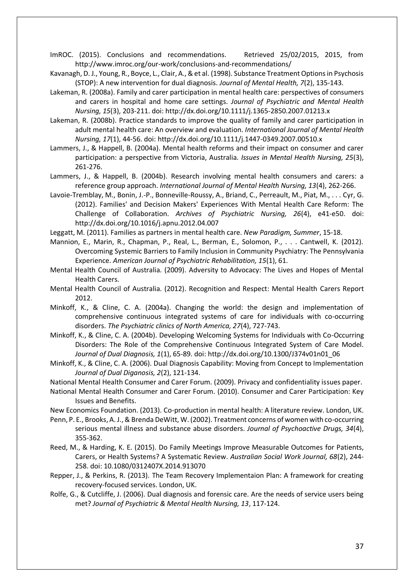ImROC. (2015). Conclusions and recommendations. Retrieved 25/02/2015, 2015, from http://www.imroc.org/our-work/conclusions-and-recommendations/

- Kavanagh, D. J., Young, R., Boyce, L., Clair, A., & et al. (1998). Substance Treatment Options in Psychosis (STOP): A new intervention for dual diagnosis. *Journal of Mental Health, 7*(2), 135-143.
- Lakeman, R. (2008a). Family and carer participation in mental health care: perspectives of consumers and carers in hospital and home care settings. *Journal of Psychiatric and Mental Health Nursing, 15*(3), 203-211. doi: http://dx.doi.org/10.1111/j.1365-2850.2007.01213.x
- Lakeman, R. (2008b). Practice standards to improve the quality of family and carer participation in adult mental health care: An overview and evaluation. *International Journal of Mental Health Nursing, 17*(1), 44-56. doi: http://dx.doi.org/10.1111/j.1447-0349.2007.00510.x
- Lammers, J., & Happell, B. (2004a). Mental health reforms and their impact on consumer and carer participation: a perspective from Victoria, Australia. *Issues in Mental Health Nursing, 25*(3), 261-276.
- Lammers, J., & Happell, B. (2004b). Research involving mental health consumers and carers: a reference group approach. *International Journal of Mental Health Nursing, 13*(4), 262-266.
- Lavoie-Tremblay, M., Bonin, J.-P., Bonneville-Roussy, A., Briand, C., Perreault, M., Piat, M., . . . Cyr, G. (2012). Families' and Decision Makers' Experiences With Mental Health Care Reform: The Challenge of Collaboration. *Archives of Psychiatric Nursing, 26*(4), e41-e50. doi: http://dx.doi.org/10.1016/j.apnu.2012.04.007
- Leggatt, M. (2011). Families as partners in mental health care. *New Paradigm, Summer*, 15-18.
- Mannion, E., Marin, R., Chapman, P., Real, L., Berman, E., Solomon, P., . . . Cantwell, K. (2012). Overcoming Systemic Barriers to Family Inclusion in Community Psychiatry: The Pennsylvania Experience. *American Journal of Psychiatric Rehabilitation, 15*(1), 61.
- Mental Health Council of Australia. (2009). Adversity to Advocacy: The Lives and Hopes of Mental Health Carers.
- Mental Health Council of Australia. (2012). Recognition and Respect: Mental Health Carers Report 2012.
- Minkoff, K., & Cline, C. A. (2004a). Changing the world: the design and implementation of comprehensive continuous integrated systems of care for individuals with co-occurring disorders. *The Psychiatric clinics of North America, 27*(4), 727-743.
- Minkoff, K., & Cline, C. A. (2004b). Developing Welcoming Systems for Individuals with Co-Occurring Disorders: The Role of the Comprehensive Continuous Integrated System of Care Model. *Journal of Dual Diagnosis, 1*(1), 65-89. doi: http://dx.doi.org/10.1300/J374v01n01\_06
- Minkoff, K., & Cline, C. A. (2006). Dual Diagnosis Capability: Moving from Concept to Implementation *Journal of Dual Diganosis, 2*(2), 121-134.

National Mental Health Consumer and Carer Forum. (2009). Privacy and confidentiality issues paper.

National Mental Health Consumer and Carer Forum. (2010). Consumer and Carer Participation: Key Issues and Benefits.

New Economics Foundation. (2013). Co-production in mental health: A literature review. London, UK.

- Penn, P. E., Brooks, A. J., & Brenda DeWitt, W. (2002). Treatment concerns of women with co-occurring serious mental illness and substance abuse disorders. *Journal of Psychoactive Drugs, 34*(4), 355-362.
- Reed, M., & Harding, K. E. (2015). Do Family Meetings Improve Measurable Outcomes for Patients, Carers, or Health Systems? A Systematic Review. *Australian Social Work Journal, 68*(2), 244- 258. doi: 10.1080/0312407X.2014.913070
- Repper, J., & Perkins, R. (2013). The Team Recovery Implementaion Plan: A framework for creating recovery-focused services. London, UK.
- Rolfe, G., & Cutcliffe, J. (2006). Dual diagnosis and forensic care. Are the needs of service users being met? *Journal of Psychiatric & Mental Health Nursing, 13*, 117-124.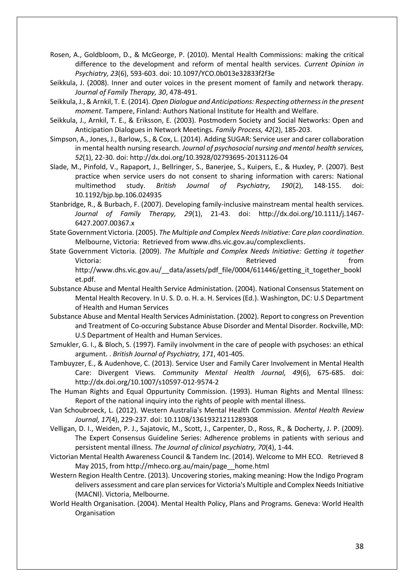Rosen, A., Goldbloom, D., & McGeorge, P. (2010). Mental Health Commissions: making the critical difference to the development and reform of mental health services. *Current Opinion in Psychiatry, 23*(6), 593-603. doi: 10.1097/YCO.0b013e32833f2f3e

- Seikkula, J. (2008). Inner and outer voices in the present moment of family and network therapy. *Journal of Family Therapy, 30*, 478-491.
- Seikkula, J., & Arnkil, T. E. (2014). *Open Dialogue and Anticipations: Respecting otherness in the present moment*. Tampere, Finland: Authors National Institute for Health and Welfare.
- Seikkula, J., Arnkil, T. E., & Eriksson, E. (2003). Postmodern Society and Social Networks: Open and Anticipation Dialogues in Network Meetings. *Family Process, 42*(2), 185-203.
- Simpson, A., Jones, J., Barlow, S., & Cox, L. (2014). Adding SUGAR: Service user and carer collaboration in mental health nursing research. *Journal of psychosocial nursing and mental health services, 52*(1), 22-30. doi: http://dx.doi.org/10.3928/02793695-20131126-04
- Slade, M., Pinfold, V., Rapaport, J., Bellringer, S., Banerjee, S., Kuipers, E., & Huxley, P. (2007). Best practice when service users do not consent to sharing information with carers: National multimethod study. *British Journal of Psychiatry, 190*(2), 148-155. doi: 10.1192/bjp.bp.106.024935
- Stanbridge, R., & Burbach, F. (2007). Developing family-inclusive mainstream mental health services. *Journal of Family Therapy, 29*(1), 21-43. doi: http://dx.doi.org/10.1111/j.1467- 6427.2007.00367.x
- State Government Victoria. (2005). *The Multiple and Complex Needs Initiative: Care plan coordination*. Melbourne, Victoria: Retrieved from www.dhs.vic.gov.au/complexclients.
- State Government Victoria. (2009). *The Multiple and Complex Needs Initiative: Getting it together*  Victoria: which is a set of the control of the Retrieved from the from the from the from  $\mathbb{R}$ http://www.dhs.vic.gov.au/\_\_data/assets/pdf\_file/0004/611446/getting\_it\_together\_bookl et.pdf.
- Substance Abuse and Mental Health Service Administation. (2004). National Consensus Statement on Mental Health Recovery. In U. S. D. o. H. a. H. Services (Ed.). Washington, DC: U.S Department of Health and Human Services
- Substance Abuse and Mental Health Services Administation. (2002). Report to congress on Prevention and Treatment of Co-occuring Substance Abuse Disorder and Mental Disorder. Rockville, MD: U.S Department of Health and Human Services.
- Szmukler, G. I., & Bloch, S. (1997). Family involvment in the care of people with psychoses: an ethical argument. . *British Journal of Psychiatry, 171*, 401-405.
- Tambuyzer, E., & Audenhove, C. (2013). Service User and Family Carer Involvement in Mental Health Care: Divergent Views. *Community Mental Health Journal, 49*(6), 675-685. doi: http://dx.doi.org/10.1007/s10597-012-9574-2
- The Human Rights and Equal Oppurtunity Commission. (1993). Human Rights and Mental Illness: Report of the national inquiry into the rights of people with mental illness.
- Van Schoubroeck, L. (2012). Western Australia's Mental Health Commission. *Mental Health Review Journal, 17*(4), 229-237. doi: 10.1108/13619321211289308
- Velligan, D. I., Weiden, P. J., Sajatovic, M., Scott, J., Carpenter, D., Ross, R., & Docherty, J. P. (2009). The Expert Consensus Guideline Series: Adherence problems in patients with serious and persistent mental illness. *The Journal of clinical psychiatry, 70*(4), 1-44.
- Victorian Mental Health Awareness Council & Tandem Inc. (2014). Welcome to MH ECO. Retrieved 8 May 2015, from http://mheco.org.au/main/page home.html
- Western Region Health Centre. (2013). Uncovering stories, making meaning: How the Indigo Program delivers assessment and care plan services for Victoria's Multiple and Complex Needs Initiative (MACNI). Victoria, Melbourne.
- World Health Organisation. (2004). Mental Health Policy, Plans and Programs. Geneva: World Health Organisation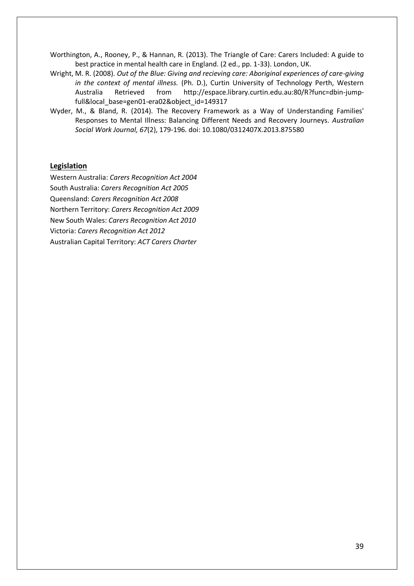Worthington, A., Rooney, P., & Hannan, R. (2013). The Triangle of Care: Carers Included: A guide to best practice in mental health care in England. (2 ed., pp. 1-33). London, UK.

- Wright, M. R. (2008). *Out of the Blue: Giving and recieving care: Aboriginal experiences of care-giving in the context of mental illness.* (Ph. D.), Curtin University of Technology Perth, Western Australia Retrieved from http://espace.library.curtin.edu.au:80/R?func=dbin-jumpfull&local\_base=gen01-era02&object\_id=149317
- Wyder, M., & Bland, R. (2014). The Recovery Framework as a Way of Understanding Families' Responses to Mental Illness: Balancing Different Needs and Recovery Journeys. *Australian Social Work Journal, 67*(2), 179-196. doi: 10.1080/0312407X.2013.875580

#### **Legislation**

Western Australia: *Carers Recognition Act 2004* South Australia: *Carers Recognition Act 2005* Queensland: *Carers Recognition Act 2008* Northern Territory: *Carers Recognition Act 2009*  New South Wales: *Carers Recognition Act 2010*  Victoria: *Carers Recognition Act 2012* Australian Capital Territory: *ACT Carers Charter*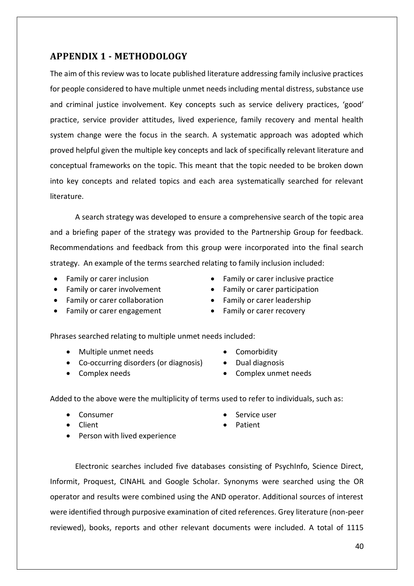**APPENDIX 1 - METHODOLOGY**

<span id="page-41-0"></span>The aim of this review was to locate published literature addressing family inclusive practices for people considered to have multiple unmet needs including mental distress, substance use and criminal justice involvement. Key concepts such as service delivery practices, 'good' practice, service provider attitudes, lived experience, family recovery and mental health system change were the focus in the search. A systematic approach was adopted which proved helpful given the multiple key concepts and lack of specifically relevant literature and conceptual frameworks on the topic. This meant that the topic needed to be broken down into key concepts and related topics and each area systematically searched for relevant literature.

A search strategy was developed to ensure a comprehensive search of the topic area and a briefing paper of the strategy was provided to the Partnership Group for feedback. Recommendations and feedback from this group were incorporated into the final search strategy. An example of the terms searched relating to family inclusion included:

- 
- Family or carer involvement Family or carer participation
- Family or carer collaboration Family or carer leadership
- Family or carer engagement Family or carer recovery

Phrases searched relating to multiple unmet needs included:

- Multiple unmet needs Comorbidity
- Co-occurring disorders (or diagnosis) Dual diagnosis
- Complex needs Complex unmet needs
- Family or carer inclusion **Exercise** Family or carer inclusive practice
	-
	-
	-
	-
- Added to the above were the multiplicity of terms used to refer to individuals, such as:
	-
	-
	- Client **Client Patient** • Person with lived experience
	- Consumer **Service user** Service user
		-
- Electronic searches included five databases consisting of PsychInfo, Science Direct, Informit, Proquest, CINAHL and Google Scholar. Synonyms were searched using the OR operator and results were combined using the AND operator. Additional sources of interest were identified through purposive examination of cited references. Grey literature (non-peer reviewed), books, reports and other relevant documents were included. A total of 1115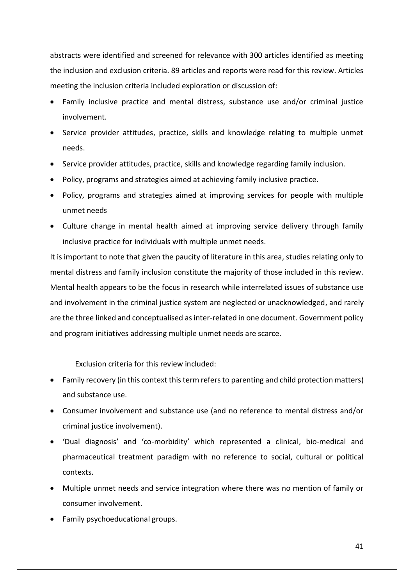abstracts were identified and screened for relevance with 300 articles identified as meeting the inclusion and exclusion criteria. 89 articles and reports were read for this review. Articles meeting the inclusion criteria included exploration or discussion of:

- Family inclusive practice and mental distress, substance use and/or criminal justice involvement.
- Service provider attitudes, practice, skills and knowledge relating to multiple unmet needs.
- Service provider attitudes, practice, skills and knowledge regarding family inclusion.
- Policy, programs and strategies aimed at achieving family inclusive practice.
- Policy, programs and strategies aimed at improving services for people with multiple unmet needs
- Culture change in mental health aimed at improving service delivery through family inclusive practice for individuals with multiple unmet needs.

It is important to note that given the paucity of literature in this area, studies relating only to mental distress and family inclusion constitute the majority of those included in this review. Mental health appears to be the focus in research while interrelated issues of substance use and involvement in the criminal justice system are neglected or unacknowledged, and rarely are the three linked and conceptualised as inter-related in one document. Government policy and program initiatives addressing multiple unmet needs are scarce.

Exclusion criteria for this review included:

- Family recovery (in this context this term refers to parenting and child protection matters) and substance use.
- Consumer involvement and substance use (and no reference to mental distress and/or criminal justice involvement).
- 'Dual diagnosis' and 'co-morbidity' which represented a clinical, bio-medical and pharmaceutical treatment paradigm with no reference to social, cultural or political contexts.
- Multiple unmet needs and service integration where there was no mention of family or consumer involvement.
- Family psychoeducational groups.